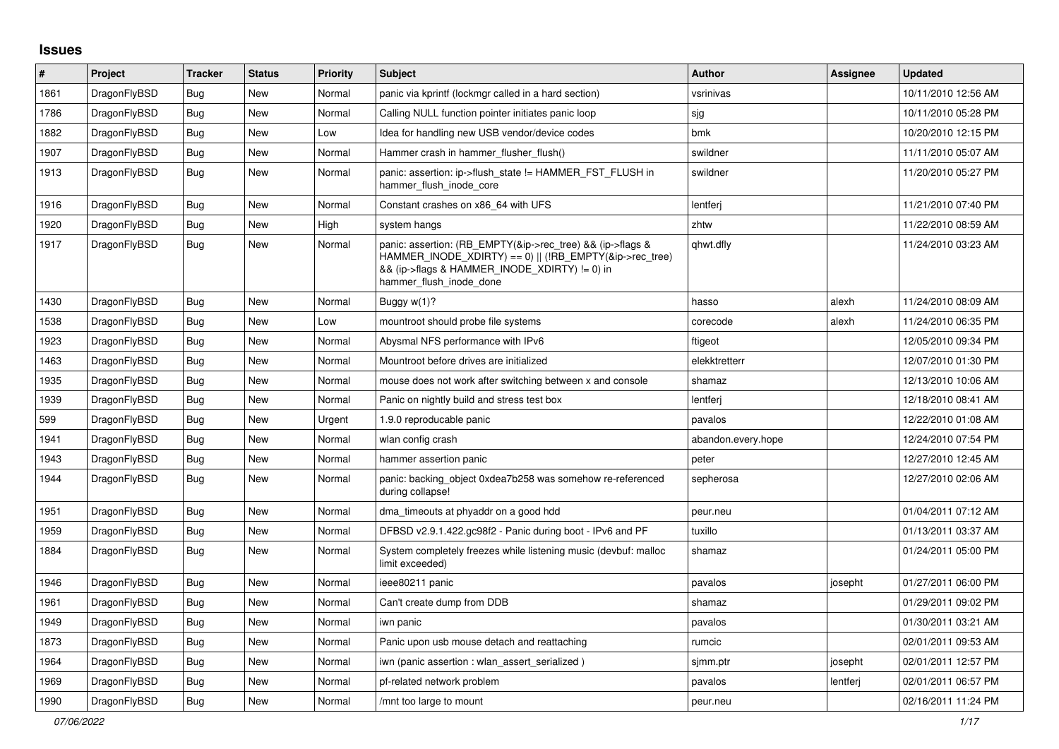## **Issues**

| #    | Project      | <b>Tracker</b> | <b>Status</b> | <b>Priority</b> | <b>Subject</b>                                                                                                                                                                                    | <b>Author</b>      | Assignee | <b>Updated</b>      |
|------|--------------|----------------|---------------|-----------------|---------------------------------------------------------------------------------------------------------------------------------------------------------------------------------------------------|--------------------|----------|---------------------|
| 1861 | DragonFlyBSD | Bug            | New           | Normal          | panic via kprintf (lockmgr called in a hard section)                                                                                                                                              | vsrinivas          |          | 10/11/2010 12:56 AM |
| 1786 | DragonFlyBSD | <b>Bug</b>     | New           | Normal          | Calling NULL function pointer initiates panic loop                                                                                                                                                | sjg                |          | 10/11/2010 05:28 PM |
| 1882 | DragonFlyBSD | <b>Bug</b>     | New           | Low             | Idea for handling new USB vendor/device codes                                                                                                                                                     | bmk                |          | 10/20/2010 12:15 PM |
| 1907 | DragonFlyBSD | <b>Bug</b>     | New           | Normal          | Hammer crash in hammer flusher flush()                                                                                                                                                            | swildner           |          | 11/11/2010 05:07 AM |
| 1913 | DragonFlyBSD | Bug            | New           | Normal          | panic: assertion: ip->flush_state != HAMMER_FST_FLUSH in<br>hammer flush inode core                                                                                                               | swildner           |          | 11/20/2010 05:27 PM |
| 1916 | DragonFlyBSD | <b>Bug</b>     | <b>New</b>    | Normal          | Constant crashes on x86 64 with UFS                                                                                                                                                               | lentferj           |          | 11/21/2010 07:40 PM |
| 1920 | DragonFlyBSD | <b>Bug</b>     | New           | High            | system hangs                                                                                                                                                                                      | zhtw               |          | 11/22/2010 08:59 AM |
| 1917 | DragonFlyBSD | Bug            | New           | Normal          | panic: assertion: (RB EMPTY(&ip->rec tree) && (ip->flags &<br>HAMMER INODE XDIRTY) == 0)    (!RB EMPTY(&ip->rec tree)<br>&& (ip->flags & HAMMER_INODE_XDIRTY) != 0) in<br>hammer flush inode done | qhwt.dfly          |          | 11/24/2010 03:23 AM |
| 1430 | DragonFlyBSD | <b>Bug</b>     | New           | Normal          | Buggy w(1)?                                                                                                                                                                                       | hasso              | alexh    | 11/24/2010 08:09 AM |
| 1538 | DragonFlyBSD | <b>Bug</b>     | New           | Low             | mountroot should probe file systems                                                                                                                                                               | corecode           | alexh    | 11/24/2010 06:35 PM |
| 1923 | DragonFlyBSD | <b>Bug</b>     | New           | Normal          | Abysmal NFS performance with IPv6                                                                                                                                                                 | ftigeot            |          | 12/05/2010 09:34 PM |
| 1463 | DragonFlyBSD | Bug            | New           | Normal          | Mountroot before drives are initialized                                                                                                                                                           | elekktretterr      |          | 12/07/2010 01:30 PM |
| 1935 | DragonFlyBSD | <b>Bug</b>     | New           | Normal          | mouse does not work after switching between x and console                                                                                                                                         | shamaz             |          | 12/13/2010 10:06 AM |
| 1939 | DragonFlyBSD | <b>Bug</b>     | New           | Normal          | Panic on nightly build and stress test box                                                                                                                                                        | lentferj           |          | 12/18/2010 08:41 AM |
| 599  | DragonFlyBSD | Bug            | New           | Urgent          | 1.9.0 reproducable panic                                                                                                                                                                          | pavalos            |          | 12/22/2010 01:08 AM |
| 1941 | DragonFlyBSD | <b>Bug</b>     | New           | Normal          | wlan config crash                                                                                                                                                                                 | abandon.every.hope |          | 12/24/2010 07:54 PM |
| 1943 | DragonFlyBSD | <b>Bug</b>     | <b>New</b>    | Normal          | hammer assertion panic                                                                                                                                                                            | peter              |          | 12/27/2010 12:45 AM |
| 1944 | DragonFlyBSD | Bug            | New           | Normal          | panic: backing_object 0xdea7b258 was somehow re-referenced<br>during collapse!                                                                                                                    | sepherosa          |          | 12/27/2010 02:06 AM |
| 1951 | DragonFlyBSD | <b>Bug</b>     | <b>New</b>    | Normal          | dma_timeouts at phyaddr on a good hdd                                                                                                                                                             | peur.neu           |          | 01/04/2011 07:12 AM |
| 1959 | DragonFlyBSD | <b>Bug</b>     | New           | Normal          | DFBSD v2.9.1.422.gc98f2 - Panic during boot - IPv6 and PF                                                                                                                                         | tuxillo            |          | 01/13/2011 03:37 AM |
| 1884 | DragonFlyBSD | Bug            | New           | Normal          | System completely freezes while listening music (devbuf: malloc<br>limit exceeded)                                                                                                                | shamaz             |          | 01/24/2011 05:00 PM |
| 1946 | DragonFlyBSD | <b>Bug</b>     | <b>New</b>    | Normal          | ieee80211 panic                                                                                                                                                                                   | pavalos            | josepht  | 01/27/2011 06:00 PM |
| 1961 | DragonFlyBSD | Bug            | New           | Normal          | Can't create dump from DDB                                                                                                                                                                        | shamaz             |          | 01/29/2011 09:02 PM |
| 1949 | DragonFlyBSD | <b>Bug</b>     | New           | Normal          | iwn panic                                                                                                                                                                                         | pavalos            |          | 01/30/2011 03:21 AM |
| 1873 | DragonFlyBSD | Bug            | New           | Normal          | Panic upon usb mouse detach and reattaching                                                                                                                                                       | rumcic             |          | 02/01/2011 09:53 AM |
| 1964 | DragonFlyBSD | Bug            | New           | Normal          | iwn (panic assertion : wlan assert serialized)                                                                                                                                                    | sjmm.ptr           | josepht  | 02/01/2011 12:57 PM |
| 1969 | DragonFlyBSD | <b>Bug</b>     | New           | Normal          | pf-related network problem                                                                                                                                                                        | pavalos            | lentferj | 02/01/2011 06:57 PM |
| 1990 | DragonFlyBSD | Bug            | New           | Normal          | /mnt too large to mount                                                                                                                                                                           | peur.neu           |          | 02/16/2011 11:24 PM |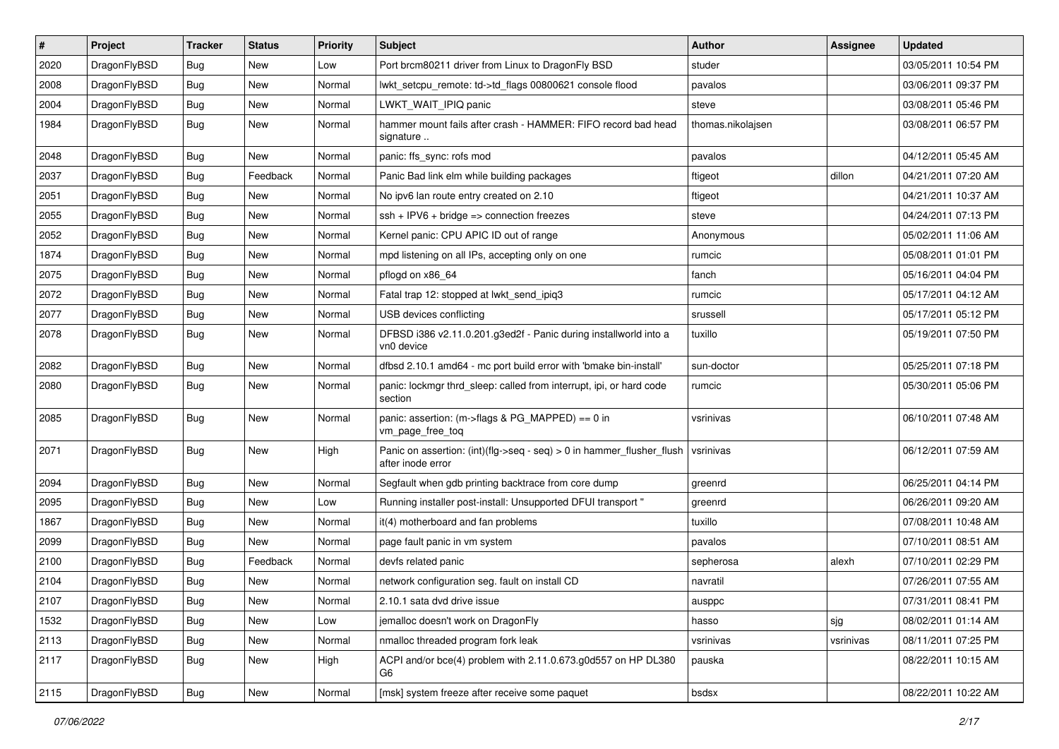| $\sharp$ | Project      | <b>Tracker</b> | <b>Status</b> | <b>Priority</b> | Subject                                                                                       | <b>Author</b>     | Assignee  | <b>Updated</b>      |
|----------|--------------|----------------|---------------|-----------------|-----------------------------------------------------------------------------------------------|-------------------|-----------|---------------------|
| 2020     | DragonFlyBSD | <b>Bug</b>     | New           | Low             | Port brcm80211 driver from Linux to DragonFly BSD                                             | studer            |           | 03/05/2011 10:54 PM |
| 2008     | DragonFlyBSD | Bug            | New           | Normal          | lwkt_setcpu_remote: td->td_flags 00800621 console flood                                       | pavalos           |           | 03/06/2011 09:37 PM |
| 2004     | DragonFlyBSD | <b>Bug</b>     | New           | Normal          | LWKT WAIT IPIQ panic                                                                          | steve             |           | 03/08/2011 05:46 PM |
| 1984     | DragonFlyBSD | Bug            | New           | Normal          | hammer mount fails after crash - HAMMER: FIFO record bad head<br>signature                    | thomas.nikolajsen |           | 03/08/2011 06:57 PM |
| 2048     | DragonFlyBSD | Bug            | New           | Normal          | panic: ffs_sync: rofs mod                                                                     | pavalos           |           | 04/12/2011 05:45 AM |
| 2037     | DragonFlyBSD | <b>Bug</b>     | Feedback      | Normal          | Panic Bad link elm while building packages                                                    | ftigeot           | dillon    | 04/21/2011 07:20 AM |
| 2051     | DragonFlyBSD | <b>Bug</b>     | New           | Normal          | No ipv6 lan route entry created on 2.10                                                       | ftigeot           |           | 04/21/2011 10:37 AM |
| 2055     | DragonFlyBSD | <b>Bug</b>     | New           | Normal          | $ssh + IPV6 + bridge \Rightarrow$ connection freezes                                          | steve             |           | 04/24/2011 07:13 PM |
| 2052     | DragonFlyBSD | Bug            | <b>New</b>    | Normal          | Kernel panic: CPU APIC ID out of range                                                        | Anonymous         |           | 05/02/2011 11:06 AM |
| 1874     | DragonFlyBSD | <b>Bug</b>     | New           | Normal          | mpd listening on all IPs, accepting only on one                                               | rumcic            |           | 05/08/2011 01:01 PM |
| 2075     | DragonFlyBSD | <b>Bug</b>     | New           | Normal          | pflogd on x86_64                                                                              | fanch             |           | 05/16/2011 04:04 PM |
| 2072     | DragonFlyBSD | <b>Bug</b>     | New           | Normal          | Fatal trap 12: stopped at lwkt send ipig3                                                     | rumcic            |           | 05/17/2011 04:12 AM |
| 2077     | DragonFlyBSD | <b>Bug</b>     | <b>New</b>    | Normal          | USB devices conflicting                                                                       | srussell          |           | 05/17/2011 05:12 PM |
| 2078     | DragonFlyBSD | <b>Bug</b>     | New           | Normal          | DFBSD i386 v2.11.0.201.g3ed2f - Panic during installworld into a<br>vn0 device                | tuxillo           |           | 05/19/2011 07:50 PM |
| 2082     | DragonFlyBSD | Bug            | New           | Normal          | dfbsd 2.10.1 amd64 - mc port build error with 'bmake bin-install'                             | sun-doctor        |           | 05/25/2011 07:18 PM |
| 2080     | DragonFlyBSD | Bug            | New           | Normal          | panic: lockmgr thrd_sleep: called from interrupt, ipi, or hard code<br>section                | rumcic            |           | 05/30/2011 05:06 PM |
| 2085     | DragonFlyBSD | Bug            | New           | Normal          | panic: assertion: (m->flags & PG_MAPPED) == $0$ in<br>vm_page_free_toq                        | vsrinivas         |           | 06/10/2011 07:48 AM |
| 2071     | DragonFlyBSD | Bug            | New           | High            | Panic on assertion: $(int)(flag->seq - seq) > 0$ in hammer flusher flush<br>after inode error | vsrinivas         |           | 06/12/2011 07:59 AM |
| 2094     | DragonFlyBSD | <b>Bug</b>     | New           | Normal          | Segfault when gdb printing backtrace from core dump                                           | greenrd           |           | 06/25/2011 04:14 PM |
| 2095     | DragonFlyBSD | <b>Bug</b>     | New           | Low             | Running installer post-install: Unsupported DFUI transport "                                  | greenrd           |           | 06/26/2011 09:20 AM |
| 1867     | DragonFlyBSD | Bug            | <b>New</b>    | Normal          | it(4) motherboard and fan problems                                                            | tuxillo           |           | 07/08/2011 10:48 AM |
| 2099     | DragonFlyBSD | Bug            | New           | Normal          | page fault panic in vm system                                                                 | pavalos           |           | 07/10/2011 08:51 AM |
| 2100     | DragonFlyBSD | Bug            | Feedback      | Normal          | devfs related panic                                                                           | sepherosa         | alexh     | 07/10/2011 02:29 PM |
| 2104     | DragonFlyBSD | Bug            | New           | Normal          | network configuration seg. fault on install CD                                                | navratil          |           | 07/26/2011 07:55 AM |
| 2107     | DragonFlyBSD | <b>Bug</b>     | New           | Normal          | 2.10.1 sata dvd drive issue                                                                   | ausppc            |           | 07/31/2011 08:41 PM |
| 1532     | DragonFlyBSD | <b>Bug</b>     | New           | Low             | jemalloc doesn't work on DragonFly                                                            | hasso             | sjg       | 08/02/2011 01:14 AM |
| 2113     | DragonFlyBSD | <b>Bug</b>     | New           | Normal          | nmalloc threaded program fork leak                                                            | vsrinivas         | vsrinivas | 08/11/2011 07:25 PM |
| 2117     | DragonFlyBSD | <b>Bug</b>     | New           | High            | ACPI and/or bce(4) problem with 2.11.0.673.g0d557 on HP DL380<br>G6                           | pauska            |           | 08/22/2011 10:15 AM |
| 2115     | DragonFlyBSD | <b>Bug</b>     | New           | Normal          | [msk] system freeze after receive some paquet                                                 | bsdsx             |           | 08/22/2011 10:22 AM |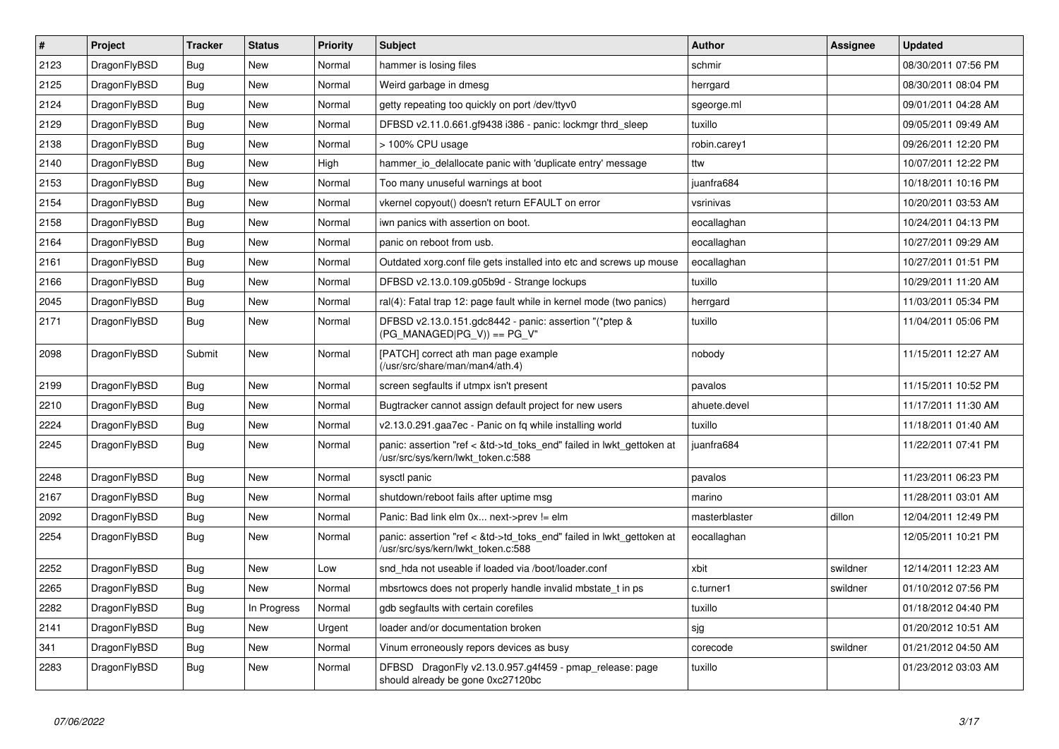| $\vert$ # | <b>Project</b> | <b>Tracker</b> | <b>Status</b> | <b>Priority</b> | <b>Subject</b>                                                                                             | <b>Author</b> | <b>Assignee</b> | <b>Updated</b>      |
|-----------|----------------|----------------|---------------|-----------------|------------------------------------------------------------------------------------------------------------|---------------|-----------------|---------------------|
| 2123      | DragonFlyBSD   | Bug            | <b>New</b>    | Normal          | hammer is losing files                                                                                     | schmir        |                 | 08/30/2011 07:56 PM |
| 2125      | DragonFlyBSD   | <b>Bug</b>     | <b>New</b>    | Normal          | Weird garbage in dmesg                                                                                     | herrgard      |                 | 08/30/2011 08:04 PM |
| 2124      | DragonFlyBSD   | Bug            | New           | Normal          | getty repeating too quickly on port /dev/ttyv0                                                             | sgeorge.ml    |                 | 09/01/2011 04:28 AM |
| 2129      | DragonFlyBSD   | Bug            | New           | Normal          | DFBSD v2.11.0.661.gf9438 i386 - panic: lockmgr thrd sleep                                                  | tuxillo       |                 | 09/05/2011 09:49 AM |
| 2138      | DragonFlyBSD   | Bug            | New           | Normal          | > 100% CPU usage                                                                                           | robin.carey1  |                 | 09/26/2011 12:20 PM |
| 2140      | DragonFlyBSD   | Bug            | <b>New</b>    | High            | hammer io delallocate panic with 'duplicate entry' message                                                 | ttw           |                 | 10/07/2011 12:22 PM |
| 2153      | DragonFlyBSD   | Bug            | <b>New</b>    | Normal          | Too many unuseful warnings at boot                                                                         | juanfra684    |                 | 10/18/2011 10:16 PM |
| 2154      | DragonFlyBSD   | Bug            | New           | Normal          | vkernel copyout() doesn't return EFAULT on error                                                           | vsrinivas     |                 | 10/20/2011 03:53 AM |
| 2158      | DragonFlyBSD   | <b>Bug</b>     | <b>New</b>    | Normal          | iwn panics with assertion on boot.                                                                         | eocallaghan   |                 | 10/24/2011 04:13 PM |
| 2164      | DragonFlyBSD   | <b>Bug</b>     | <b>New</b>    | Normal          | panic on reboot from usb.                                                                                  | eocallaghan   |                 | 10/27/2011 09:29 AM |
| 2161      | DragonFlyBSD   | Bug            | <b>New</b>    | Normal          | Outdated xorg.conf file gets installed into etc and screws up mouse                                        | eocallaghan   |                 | 10/27/2011 01:51 PM |
| 2166      | DragonFlyBSD   | Bug            | <b>New</b>    | Normal          | DFBSD v2.13.0.109.g05b9d - Strange lockups                                                                 | tuxillo       |                 | 10/29/2011 11:20 AM |
| 2045      | DragonFlyBSD   | <b>Bug</b>     | <b>New</b>    | Normal          | ral(4): Fatal trap 12: page fault while in kernel mode (two panics)                                        | herrgard      |                 | 11/03/2011 05:34 PM |
| 2171      | DragonFlyBSD   | Bug            | <b>New</b>    | Normal          | DFBSD v2.13.0.151.gdc8442 - panic: assertion "(*ptep &<br>(PG MANAGED PG V)) == PG V"                      | tuxillo       |                 | 11/04/2011 05:06 PM |
| 2098      | DragonFlyBSD   | Submit         | New           | Normal          | [PATCH] correct ath man page example<br>(/usr/src/share/man/man4/ath.4)                                    | nobody        |                 | 11/15/2011 12:27 AM |
| 2199      | DragonFlyBSD   | <b>Bug</b>     | <b>New</b>    | Normal          | screen segfaults if utmpx isn't present                                                                    | pavalos       |                 | 11/15/2011 10:52 PM |
| 2210      | DragonFlyBSD   | Bug            | <b>New</b>    | Normal          | Bugtracker cannot assign default project for new users                                                     | ahuete.devel  |                 | 11/17/2011 11:30 AM |
| 2224      | DragonFlyBSD   | Bug            | New           | Normal          | v2.13.0.291.gaa7ec - Panic on fq while installing world                                                    | tuxillo       |                 | 11/18/2011 01:40 AM |
| 2245      | DragonFlyBSD   | <b>Bug</b>     | New           | Normal          | panic: assertion "ref < &td->td_toks_end" failed in lwkt_gettoken at<br>/usr/src/sys/kern/lwkt_token.c:588 | juanfra684    |                 | 11/22/2011 07:41 PM |
| 2248      | DragonFlyBSD   | <b>Bug</b>     | <b>New</b>    | Normal          | sysctl panic                                                                                               | pavalos       |                 | 11/23/2011 06:23 PM |
| 2167      | DragonFlyBSD   | <b>Bug</b>     | <b>New</b>    | Normal          | shutdown/reboot fails after uptime msg                                                                     | marino        |                 | 11/28/2011 03:01 AM |
| 2092      | DragonFlyBSD   | Bug            | New           | Normal          | Panic: Bad link elm 0x next->prev != elm                                                                   | masterblaster | dillon          | 12/04/2011 12:49 PM |
| 2254      | DragonFlyBSD   | <b>Bug</b>     | New           | Normal          | panic: assertion "ref < &td->td toks end" failed in lwkt gettoken at<br>/usr/src/sys/kern/lwkt token.c:588 | eocallaghan   |                 | 12/05/2011 10:21 PM |
| 2252      | DragonFlyBSD   | <b>Bug</b>     | <b>New</b>    | Low             | snd hda not useable if loaded via /boot/loader.conf                                                        | xbit          | swildner        | 12/14/2011 12:23 AM |
| 2265      | DragonFlyBSD   | <b>Bug</b>     | <b>New</b>    | Normal          | mbsrtowcs does not properly handle invalid mbstate t in ps                                                 | c.turner1     | swildner        | 01/10/2012 07:56 PM |
| 2282      | DragonFlyBSD   | <b>Bug</b>     | In Progress   | Normal          | gdb segfaults with certain corefiles                                                                       | tuxillo       |                 | 01/18/2012 04:40 PM |
| 2141      | DragonFlyBSD   | <b>Bug</b>     | <b>New</b>    | Urgent          | loader and/or documentation broken                                                                         | sjg           |                 | 01/20/2012 10:51 AM |
| 341       | DragonFlyBSD   | Bug            | <b>New</b>    | Normal          | Vinum erroneously repors devices as busy                                                                   | corecode      | swildner        | 01/21/2012 04:50 AM |
| 2283      | DragonFlyBSD   | <b>Bug</b>     | <b>New</b>    | Normal          | DFBSD DragonFly v2.13.0.957.g4f459 - pmap_release: page<br>should already be gone 0xc27120bc               | tuxillo       |                 | 01/23/2012 03:03 AM |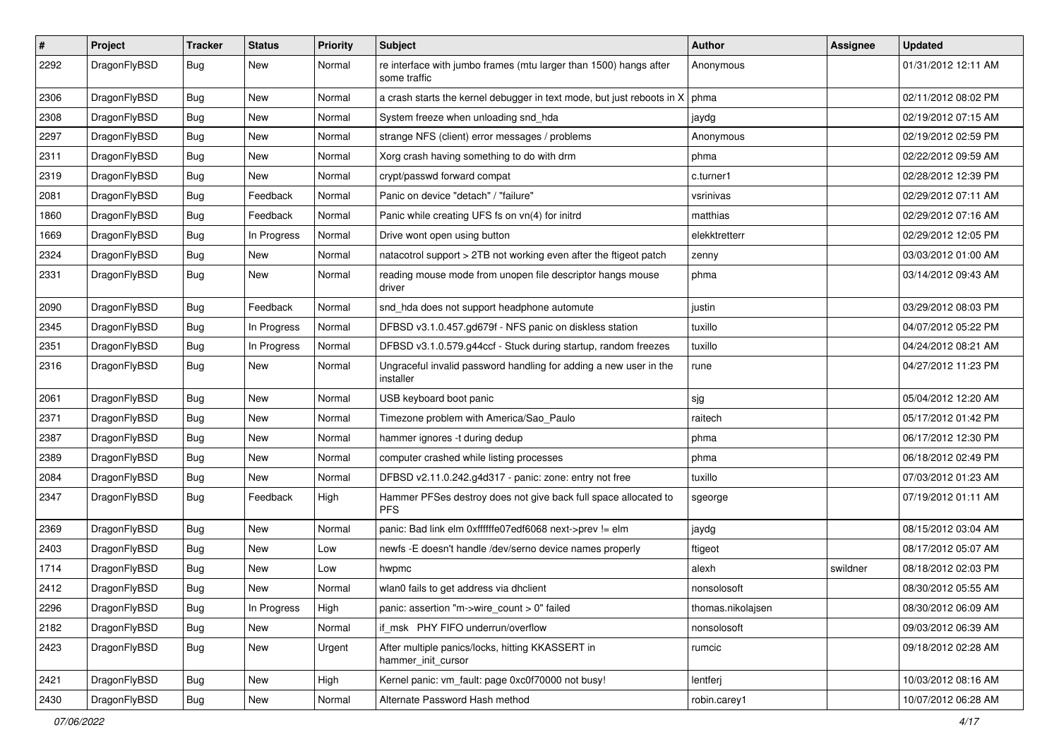| $\sharp$ | Project      | <b>Tracker</b> | <b>Status</b> | <b>Priority</b> | Subject                                                                           | Author            | Assignee | <b>Updated</b>      |
|----------|--------------|----------------|---------------|-----------------|-----------------------------------------------------------------------------------|-------------------|----------|---------------------|
| 2292     | DragonFlyBSD | Bug            | <b>New</b>    | Normal          | re interface with jumbo frames (mtu larger than 1500) hangs after<br>some traffic | Anonymous         |          | 01/31/2012 12:11 AM |
| 2306     | DragonFlyBSD | Bug            | <b>New</b>    | Normal          | a crash starts the kernel debugger in text mode, but just reboots in X            | phma              |          | 02/11/2012 08:02 PM |
| 2308     | DragonFlyBSD | <b>Bug</b>     | New           | Normal          | System freeze when unloading snd_hda                                              | jaydg             |          | 02/19/2012 07:15 AM |
| 2297     | DragonFlyBSD | <b>Bug</b>     | <b>New</b>    | Normal          | strange NFS (client) error messages / problems                                    | Anonymous         |          | 02/19/2012 02:59 PM |
| 2311     | DragonFlyBSD | <b>Bug</b>     | New           | Normal          | Xorg crash having something to do with drm                                        | phma              |          | 02/22/2012 09:59 AM |
| 2319     | DragonFlyBSD | <b>Bug</b>     | <b>New</b>    | Normal          | crypt/passwd forward compat                                                       | c.turner1         |          | 02/28/2012 12:39 PM |
| 2081     | DragonFlyBSD | Bug            | Feedback      | Normal          | Panic on device "detach" / "failure"                                              | vsrinivas         |          | 02/29/2012 07:11 AM |
| 1860     | DragonFlyBSD | <b>Bug</b>     | Feedback      | Normal          | Panic while creating UFS fs on vn(4) for initrd                                   | matthias          |          | 02/29/2012 07:16 AM |
| 1669     | DragonFlyBSD | <b>Bug</b>     | In Progress   | Normal          | Drive wont open using button                                                      | elekktretterr     |          | 02/29/2012 12:05 PM |
| 2324     | DragonFlyBSD | <b>Bug</b>     | New           | Normal          | natacotrol support > 2TB not working even after the ftigeot patch                 | zenny             |          | 03/03/2012 01:00 AM |
| 2331     | DragonFlyBSD | Bug            | New           | Normal          | reading mouse mode from unopen file descriptor hangs mouse<br>driver              | phma              |          | 03/14/2012 09:43 AM |
| 2090     | DragonFlyBSD | <b>Bug</b>     | Feedback      | Normal          | snd_hda does not support headphone automute                                       | justin            |          | 03/29/2012 08:03 PM |
| 2345     | DragonFlyBSD | <b>Bug</b>     | In Progress   | Normal          | DFBSD v3.1.0.457.gd679f - NFS panic on diskless station                           | tuxillo           |          | 04/07/2012 05:22 PM |
| 2351     | DragonFlyBSD | Bug            | In Progress   | Normal          | DFBSD v3.1.0.579.g44ccf - Stuck during startup, random freezes                    | tuxillo           |          | 04/24/2012 08:21 AM |
| 2316     | DragonFlyBSD | Bug            | New           | Normal          | Ungraceful invalid password handling for adding a new user in the<br>installer    | rune              |          | 04/27/2012 11:23 PM |
| 2061     | DragonFlyBSD | Bug            | <b>New</b>    | Normal          | USB keyboard boot panic                                                           | sjg               |          | 05/04/2012 12:20 AM |
| 2371     | DragonFlyBSD | Bug            | <b>New</b>    | Normal          | Timezone problem with America/Sao_Paulo                                           | raitech           |          | 05/17/2012 01:42 PM |
| 2387     | DragonFlyBSD | <b>Bug</b>     | New           | Normal          | hammer ignores -t during dedup                                                    | phma              |          | 06/17/2012 12:30 PM |
| 2389     | DragonFlyBSD | <b>Bug</b>     | <b>New</b>    | Normal          | computer crashed while listing processes                                          | phma              |          | 06/18/2012 02:49 PM |
| 2084     | DragonFlyBSD | <b>Bug</b>     | New           | Normal          | DFBSD v2.11.0.242.g4d317 - panic: zone: entry not free                            | tuxillo           |          | 07/03/2012 01:23 AM |
| 2347     | DragonFlyBSD | Bug            | Feedback      | High            | Hammer PFSes destroy does not give back full space allocated to<br><b>PFS</b>     | sgeorge           |          | 07/19/2012 01:11 AM |
| 2369     | DragonFlyBSD | <b>Bug</b>     | <b>New</b>    | Normal          | panic: Bad link elm 0xffffffe07edf6068 next->prev != elm                          | jaydg             |          | 08/15/2012 03:04 AM |
| 2403     | DragonFlyBSD | <b>Bug</b>     | New           | Low             | newfs -E doesn't handle /dev/serno device names properly                          | ftigeot           |          | 08/17/2012 05:07 AM |
| 1714     | DragonFlyBSD | <b>Bug</b>     | <b>New</b>    | Low             | hwpmc                                                                             | alexh             | swildner | 08/18/2012 02:03 PM |
| 2412     | DragonFlyBSD | <b>Bug</b>     | <b>New</b>    | Normal          | wlan0 fails to get address via dhclient                                           | nonsolosoft       |          | 08/30/2012 05:55 AM |
| 2296     | DragonFlyBSD | <b>Bug</b>     | In Progress   | High            | panic: assertion "m->wire_count > 0" failed                                       | thomas.nikolajsen |          | 08/30/2012 06:09 AM |
| 2182     | DragonFlyBSD | <b>Bug</b>     | New           | Normal          | if_msk PHY FIFO underrun/overflow                                                 | nonsolosoft       |          | 09/03/2012 06:39 AM |
| 2423     | DragonFlyBSD | <b>Bug</b>     | New           | Urgent          | After multiple panics/locks, hitting KKASSERT in<br>hammer_init_cursor            | rumcic            |          | 09/18/2012 02:28 AM |
| 2421     | DragonFlyBSD | <b>Bug</b>     | New           | High            | Kernel panic: vm_fault: page 0xc0f70000 not busy!                                 | lentferj          |          | 10/03/2012 08:16 AM |
| 2430     | DragonFlyBSD | <b>Bug</b>     | New           | Normal          | Alternate Password Hash method                                                    | robin.carey1      |          | 10/07/2012 06:28 AM |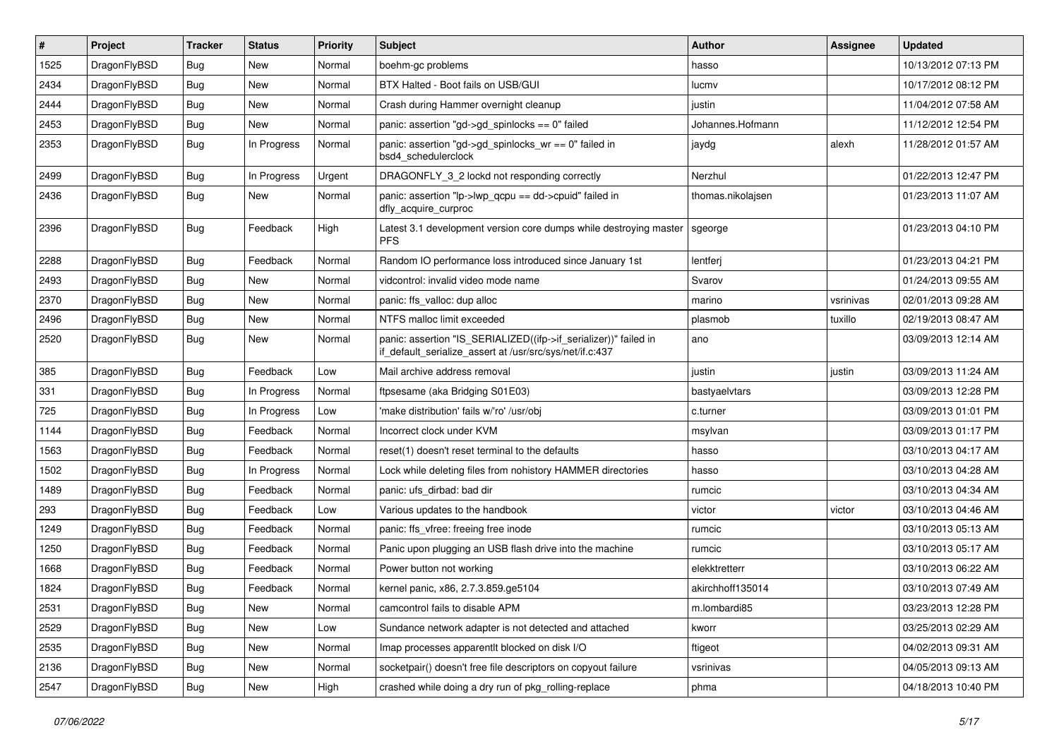| $\vert$ # | Project      | <b>Tracker</b> | <b>Status</b> | <b>Priority</b> | Subject                                                                                                                      | <b>Author</b>     | Assignee  | <b>Updated</b>      |
|-----------|--------------|----------------|---------------|-----------------|------------------------------------------------------------------------------------------------------------------------------|-------------------|-----------|---------------------|
| 1525      | DragonFlyBSD | <b>Bug</b>     | New           | Normal          | boehm-gc problems                                                                                                            | hasso             |           | 10/13/2012 07:13 PM |
| 2434      | DragonFlyBSD | <b>Bug</b>     | New           | Normal          | BTX Halted - Boot fails on USB/GUI                                                                                           | lucmv             |           | 10/17/2012 08:12 PM |
| 2444      | DragonFlyBSD | <b>Bug</b>     | New           | Normal          | Crash during Hammer overnight cleanup                                                                                        | justin            |           | 11/04/2012 07:58 AM |
| 2453      | DragonFlyBSD | <b>Bug</b>     | New           | Normal          | panic: assertion "gd->gd_spinlocks == $0$ " failed                                                                           | Johannes.Hofmann  |           | 11/12/2012 12:54 PM |
| 2353      | DragonFlyBSD | <b>Bug</b>     | In Progress   | Normal          | panic: assertion "gd->gd_spinlocks_wr == 0" failed in<br>bsd4 schedulerclock                                                 | jaydg             | alexh     | 11/28/2012 01:57 AM |
| 2499      | DragonFlyBSD | <b>Bug</b>     | In Progress   | Urgent          | DRAGONFLY_3_2 lockd not responding correctly                                                                                 | Nerzhul           |           | 01/22/2013 12:47 PM |
| 2436      | DragonFlyBSD | Bug            | New           | Normal          | panic: assertion "lp->lwp_qcpu == dd->cpuid" failed in<br>dfly_acquire_curproc                                               | thomas.nikolajsen |           | 01/23/2013 11:07 AM |
| 2396      | DragonFlyBSD | <b>Bug</b>     | Feedback      | High            | Latest 3.1 development version core dumps while destroying master<br><b>PFS</b>                                              | sgeorge           |           | 01/23/2013 04:10 PM |
| 2288      | DragonFlyBSD | <b>Bug</b>     | Feedback      | Normal          | Random IO performance loss introduced since January 1st                                                                      | lentferj          |           | 01/23/2013 04:21 PM |
| 2493      | DragonFlyBSD | <b>Bug</b>     | New           | Normal          | vidcontrol: invalid video mode name                                                                                          | Svarov            |           | 01/24/2013 09:55 AM |
| 2370      | DragonFlyBSD | <b>Bug</b>     | New           | Normal          | panic: ffs valloc: dup alloc                                                                                                 | marino            | vsrinivas | 02/01/2013 09:28 AM |
| 2496      | DragonFlyBSD | <b>Bug</b>     | New           | Normal          | NTFS malloc limit exceeded                                                                                                   | plasmob           | tuxillo   | 02/19/2013 08:47 AM |
| 2520      | DragonFlyBSD | Bug            | New           | Normal          | panic: assertion "IS_SERIALIZED((ifp->if_serializer))" failed in<br>if_default_serialize_assert at /usr/src/sys/net/if.c:437 | ano               |           | 03/09/2013 12:14 AM |
| 385       | DragonFlyBSD | <b>Bug</b>     | Feedback      | Low             | Mail archive address removal                                                                                                 | justin            | justin    | 03/09/2013 11:24 AM |
| 331       | DragonFlyBSD | <b>Bug</b>     | In Progress   | Normal          | ftpsesame (aka Bridging S01E03)                                                                                              | bastyaelvtars     |           | 03/09/2013 12:28 PM |
| 725       | DragonFlyBSD | <b>Bug</b>     | In Progress   | Low             | 'make distribution' fails w/'ro' /usr/obj                                                                                    | c.turner          |           | 03/09/2013 01:01 PM |
| 1144      | DragonFlyBSD | <b>Bug</b>     | Feedback      | Normal          | Incorrect clock under KVM                                                                                                    | msylvan           |           | 03/09/2013 01:17 PM |
| 1563      | DragonFlyBSD | <b>Bug</b>     | Feedback      | Normal          | reset(1) doesn't reset terminal to the defaults                                                                              | hasso             |           | 03/10/2013 04:17 AM |
| 1502      | DragonFlyBSD | <b>Bug</b>     | In Progress   | Normal          | Lock while deleting files from nohistory HAMMER directories                                                                  | hasso             |           | 03/10/2013 04:28 AM |
| 1489      | DragonFlyBSD | Bug            | Feedback      | Normal          | panic: ufs dirbad: bad dir                                                                                                   | rumcic            |           | 03/10/2013 04:34 AM |
| 293       | DragonFlyBSD | <b>Bug</b>     | Feedback      | Low             | Various updates to the handbook                                                                                              | victor            | victor    | 03/10/2013 04:46 AM |
| 1249      | DragonFlyBSD | <b>Bug</b>     | Feedback      | Normal          | panic: ffs_vfree: freeing free inode                                                                                         | rumcic            |           | 03/10/2013 05:13 AM |
| 1250      | DragonFlyBSD | <b>Bug</b>     | Feedback      | Normal          | Panic upon plugging an USB flash drive into the machine                                                                      | rumcic            |           | 03/10/2013 05:17 AM |
| 1668      | DragonFlyBSD | <b>Bug</b>     | Feedback      | Normal          | Power button not working                                                                                                     | elekktretterr     |           | 03/10/2013 06:22 AM |
| 1824      | DragonFlyBSD | <b>Bug</b>     | Feedback      | Normal          | kernel panic, x86, 2.7.3.859.ge5104                                                                                          | akirchhoff135014  |           | 03/10/2013 07:49 AM |
| 2531      | DragonFlyBSD | <b>Bug</b>     | New           | Normal          | camcontrol fails to disable APM                                                                                              | m.lombardi85      |           | 03/23/2013 12:28 PM |
| 2529      | DragonFlyBSD | <b>Bug</b>     | New           | Low             | Sundance network adapter is not detected and attached                                                                        | kworr             |           | 03/25/2013 02:29 AM |
| 2535      | DragonFlyBSD | <b>Bug</b>     | New           | Normal          | Imap processes apparentlt blocked on disk I/O                                                                                | ftigeot           |           | 04/02/2013 09:31 AM |
| 2136      | DragonFlyBSD | <b>Bug</b>     | New           | Normal          | socketpair() doesn't free file descriptors on copyout failure                                                                | vsrinivas         |           | 04/05/2013 09:13 AM |
| 2547      | DragonFlyBSD | <b>Bug</b>     | New           | High            | crashed while doing a dry run of pkg_rolling-replace                                                                         | phma              |           | 04/18/2013 10:40 PM |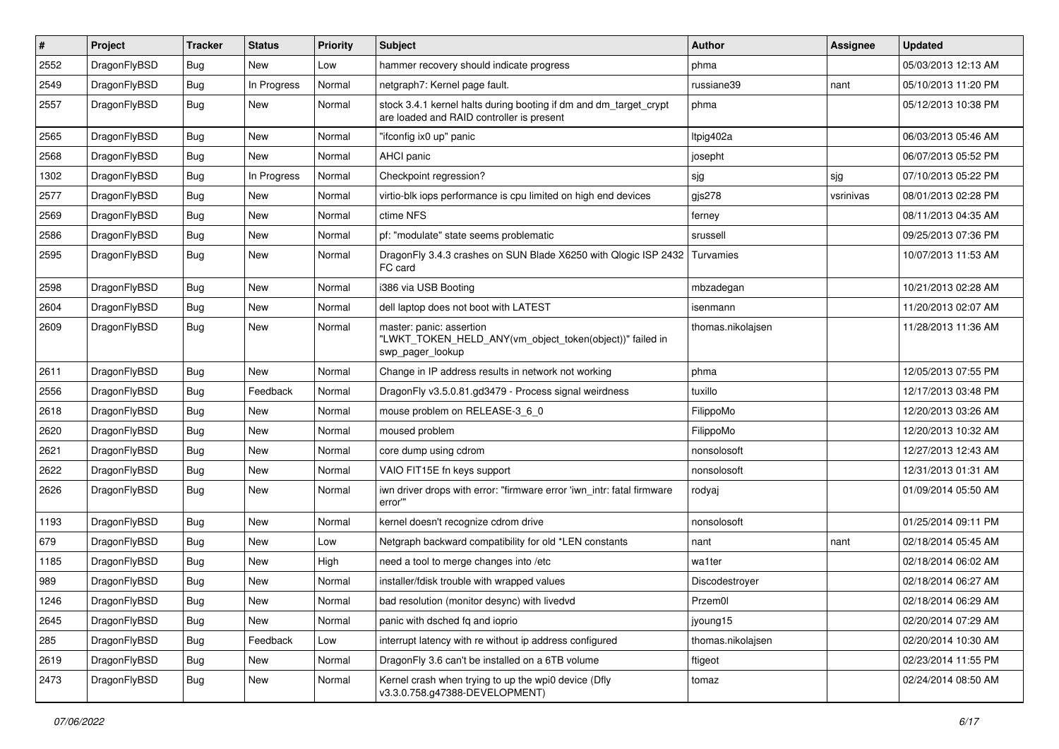| $\sharp$ | Project      | <b>Tracker</b> | <b>Status</b> | <b>Priority</b> | Subject                                                                                                        | <b>Author</b>     | Assignee  | <b>Updated</b>      |
|----------|--------------|----------------|---------------|-----------------|----------------------------------------------------------------------------------------------------------------|-------------------|-----------|---------------------|
| 2552     | DragonFlyBSD | Bug            | New           | Low             | hammer recovery should indicate progress                                                                       | phma              |           | 05/03/2013 12:13 AM |
| 2549     | DragonFlyBSD | Bug            | In Progress   | Normal          | netgraph7: Kernel page fault.                                                                                  | russiane39        | nant      | 05/10/2013 11:20 PM |
| 2557     | DragonFlyBSD | <b>Bug</b>     | New           | Normal          | stock 3.4.1 kernel halts during booting if dm and dm_target_crypt<br>are loaded and RAID controller is present | phma              |           | 05/12/2013 10:38 PM |
| 2565     | DragonFlyBSD | <b>Bug</b>     | <b>New</b>    | Normal          | "ifconfig ix0 up" panic                                                                                        | Itpig402a         |           | 06/03/2013 05:46 AM |
| 2568     | DragonFlyBSD | <b>Bug</b>     | New           | Normal          | AHCI panic                                                                                                     | josepht           |           | 06/07/2013 05:52 PM |
| 1302     | DragonFlyBSD | <b>Bug</b>     | In Progress   | Normal          | Checkpoint regression?                                                                                         | sjg               | sjg       | 07/10/2013 05:22 PM |
| 2577     | DragonFlyBSD | <b>Bug</b>     | New           | Normal          | virtio-blk iops performance is cpu limited on high end devices                                                 | gjs278            | vsrinivas | 08/01/2013 02:28 PM |
| 2569     | DragonFlyBSD | <b>Bug</b>     | New           | Normal          | ctime NFS                                                                                                      | ferney            |           | 08/11/2013 04:35 AM |
| 2586     | DragonFlyBSD | <b>Bug</b>     | <b>New</b>    | Normal          | pf: "modulate" state seems problematic                                                                         | srussell          |           | 09/25/2013 07:36 PM |
| 2595     | DragonFlyBSD | <b>Bug</b>     | New           | Normal          | DragonFly 3.4.3 crashes on SUN Blade X6250 with Qlogic ISP 2432<br>FC card                                     | Turvamies         |           | 10/07/2013 11:53 AM |
| 2598     | DragonFlyBSD | <b>Bug</b>     | <b>New</b>    | Normal          | i386 via USB Booting                                                                                           | mbzadegan         |           | 10/21/2013 02:28 AM |
| 2604     | DragonFlyBSD | <b>Bug</b>     | New           | Normal          | dell laptop does not boot with LATEST                                                                          | isenmann          |           | 11/20/2013 02:07 AM |
| 2609     | DragonFlyBSD | <b>Bug</b>     | New           | Normal          | master: panic: assertion<br>"LWKT_TOKEN_HELD_ANY(vm_object_token(object))" failed in<br>swp_pager_lookup       | thomas.nikolajsen |           | 11/28/2013 11:36 AM |
| 2611     | DragonFlyBSD | <b>Bug</b>     | New           | Normal          | Change in IP address results in network not working                                                            | phma              |           | 12/05/2013 07:55 PM |
| 2556     | DragonFlyBSD | <b>Bug</b>     | Feedback      | Normal          | DragonFly v3.5.0.81.gd3479 - Process signal weirdness                                                          | tuxillo           |           | 12/17/2013 03:48 PM |
| 2618     | DragonFlyBSD | <b>Bug</b>     | New           | Normal          | mouse problem on RELEASE-3_6_0                                                                                 | FilippoMo         |           | 12/20/2013 03:26 AM |
| 2620     | DragonFlyBSD | <b>Bug</b>     | <b>New</b>    | Normal          | moused problem                                                                                                 | FilippoMo         |           | 12/20/2013 10:32 AM |
| 2621     | DragonFlyBSD | <b>Bug</b>     | New           | Normal          | core dump using cdrom                                                                                          | nonsolosoft       |           | 12/27/2013 12:43 AM |
| 2622     | DragonFlyBSD | <b>Bug</b>     | New           | Normal          | VAIO FIT15E fn keys support                                                                                    | nonsolosoft       |           | 12/31/2013 01:31 AM |
| 2626     | DragonFlyBSD | <b>Bug</b>     | <b>New</b>    | Normal          | iwn driver drops with error: "firmware error 'iwn intr: fatal firmware<br>error"                               | rodyaj            |           | 01/09/2014 05:50 AM |
| 1193     | DragonFlyBSD | <b>Bug</b>     | New           | Normal          | kernel doesn't recognize cdrom drive                                                                           | nonsolosoft       |           | 01/25/2014 09:11 PM |
| 679      | DragonFlyBSD | <b>Bug</b>     | New           | Low             | Netgraph backward compatibility for old *LEN constants                                                         | nant              | nant      | 02/18/2014 05:45 AM |
| 1185     | DragonFlyBSD | <b>Bug</b>     | New           | High            | need a tool to merge changes into /etc                                                                         | wa1ter            |           | 02/18/2014 06:02 AM |
| 989      | DragonFlyBSD | <b>Bug</b>     | New           | Normal          | installer/fdisk trouble with wrapped values                                                                    | Discodestroyer    |           | 02/18/2014 06:27 AM |
| 1246     | DragonFlyBSD | <b>Bug</b>     | I New         | Normal          | bad resolution (monitor desync) with livedvd                                                                   | Przem0l           |           | 02/18/2014 06:29 AM |
| 2645     | DragonFlyBSD | <b>Bug</b>     | New           | Normal          | panic with dsched fq and ioprio                                                                                | jyoung15          |           | 02/20/2014 07:29 AM |
| 285      | DragonFlyBSD | <b>Bug</b>     | Feedback      | Low             | interrupt latency with re without ip address configured                                                        | thomas.nikolajsen |           | 02/20/2014 10:30 AM |
| 2619     | DragonFlyBSD | <b>Bug</b>     | New           | Normal          | DragonFly 3.6 can't be installed on a 6TB volume                                                               | ftigeot           |           | 02/23/2014 11:55 PM |
| 2473     | DragonFlyBSD | <b>Bug</b>     | New           | Normal          | Kernel crash when trying to up the wpi0 device (Dfly<br>v3.3.0.758.g47388-DEVELOPMENT)                         | tomaz             |           | 02/24/2014 08:50 AM |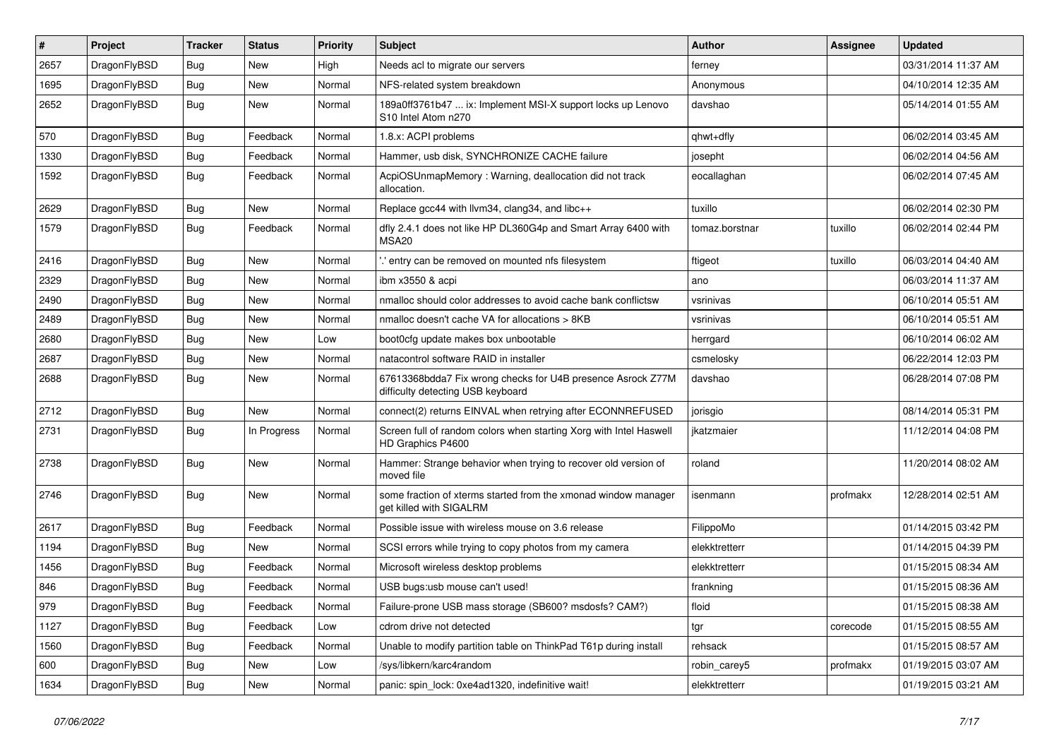| #    | Project      | <b>Tracker</b> | <b>Status</b> | <b>Priority</b> | Subject                                                                                          | Author         | <b>Assignee</b> | <b>Updated</b>      |
|------|--------------|----------------|---------------|-----------------|--------------------------------------------------------------------------------------------------|----------------|-----------------|---------------------|
| 2657 | DragonFlyBSD | Bug            | New           | High            | Needs acl to migrate our servers                                                                 | ferney         |                 | 03/31/2014 11:37 AM |
| 1695 | DragonFlyBSD | Bug            | New           | Normal          | NFS-related system breakdown                                                                     | Anonymous      |                 | 04/10/2014 12:35 AM |
| 2652 | DragonFlyBSD | <b>Bug</b>     | New           | Normal          | 189a0ff3761b47  ix: Implement MSI-X support locks up Lenovo<br>S10 Intel Atom n270               | davshao        |                 | 05/14/2014 01:55 AM |
| 570  | DragonFlyBSD | Bug            | Feedback      | Normal          | 1.8.x: ACPI problems                                                                             | qhwt+dfly      |                 | 06/02/2014 03:45 AM |
| 1330 | DragonFlyBSD | <b>Bug</b>     | Feedback      | Normal          | Hammer, usb disk, SYNCHRONIZE CACHE failure                                                      | josepht        |                 | 06/02/2014 04:56 AM |
| 1592 | DragonFlyBSD | Bug            | Feedback      | Normal          | AcpiOSUnmapMemory: Warning, deallocation did not track<br>allocation.                            | eocallaghan    |                 | 06/02/2014 07:45 AM |
| 2629 | DragonFlyBSD | Bug            | New           | Normal          | Replace gcc44 with llvm34, clang34, and libc++                                                   | tuxillo        |                 | 06/02/2014 02:30 PM |
| 1579 | DragonFlyBSD | Bug            | Feedback      | Normal          | dfly 2.4.1 does not like HP DL360G4p and Smart Array 6400 with<br>MSA <sub>20</sub>              | tomaz.borstnar | tuxillo         | 06/02/2014 02:44 PM |
| 2416 | DragonFlyBSD | Bug            | <b>New</b>    | Normal          | ".' entry can be removed on mounted nfs filesystem                                               | ftigeot        | tuxillo         | 06/03/2014 04:40 AM |
| 2329 | DragonFlyBSD | Bug            | <b>New</b>    | Normal          | ibm x3550 & acpi                                                                                 | ano            |                 | 06/03/2014 11:37 AM |
| 2490 | DragonFlyBSD | <b>Bug</b>     | New           | Normal          | nmalloc should color addresses to avoid cache bank conflictsw                                    | vsrinivas      |                 | 06/10/2014 05:51 AM |
| 2489 | DragonFlyBSD | Bug            | New           | Normal          | nmalloc doesn't cache VA for allocations > 8KB                                                   | vsrinivas      |                 | 06/10/2014 05:51 AM |
| 2680 | DragonFlyBSD | <b>Bug</b>     | New           | Low             | boot0cfg update makes box unbootable                                                             | herrgard       |                 | 06/10/2014 06:02 AM |
| 2687 | DragonFlyBSD | <b>Bug</b>     | New           | Normal          | natacontrol software RAID in installer                                                           | csmelosky      |                 | 06/22/2014 12:03 PM |
| 2688 | DragonFlyBSD | <b>Bug</b>     | New           | Normal          | 67613368bdda7 Fix wrong checks for U4B presence Asrock Z77M<br>difficulty detecting USB keyboard | davshao        |                 | 06/28/2014 07:08 PM |
| 2712 | DragonFlyBSD | Bug            | <b>New</b>    | Normal          | connect(2) returns EINVAL when retrying after ECONNREFUSED                                       | jorisgio       |                 | 08/14/2014 05:31 PM |
| 2731 | DragonFlyBSD | Bug            | In Progress   | Normal          | Screen full of random colors when starting Xorg with Intel Haswell<br>HD Graphics P4600          | ikatzmaier     |                 | 11/12/2014 04:08 PM |
| 2738 | DragonFlyBSD | Bug            | New           | Normal          | Hammer: Strange behavior when trying to recover old version of<br>moved file                     | roland         |                 | 11/20/2014 08:02 AM |
| 2746 | DragonFlyBSD | Bug            | New           | Normal          | some fraction of xterms started from the xmonad window manager<br>get killed with SIGALRM        | isenmann       | profmakx        | 12/28/2014 02:51 AM |
| 2617 | DragonFlyBSD | Bug            | Feedback      | Normal          | Possible issue with wireless mouse on 3.6 release                                                | FilippoMo      |                 | 01/14/2015 03:42 PM |
| 1194 | DragonFlyBSD | <b>Bug</b>     | New           | Normal          | SCSI errors while trying to copy photos from my camera                                           | elekktretterr  |                 | 01/14/2015 04:39 PM |
| 1456 | DragonFlyBSD | Bug            | Feedback      | Normal          | Microsoft wireless desktop problems                                                              | elekktretterr  |                 | 01/15/2015 08:34 AM |
| 846  | DragonFlyBSD | Bug            | Feedback      | Normal          | USB bugs:usb mouse can't used!                                                                   | frankning      |                 | 01/15/2015 08:36 AM |
| 979  | DragonFlyBSD | Bug            | Feedback      | Normal          | Failure-prone USB mass storage (SB600? msdosfs? CAM?)                                            | floid          |                 | 01/15/2015 08:38 AM |
| 1127 | DragonFlyBSD | <b>Bug</b>     | Feedback      | Low             | cdrom drive not detected                                                                         | tgr            | corecode        | 01/15/2015 08:55 AM |
| 1560 | DragonFlyBSD | <b>Bug</b>     | Feedback      | Normal          | Unable to modify partition table on ThinkPad T61p during install                                 | rehsack        |                 | 01/15/2015 08:57 AM |
| 600  | DragonFlyBSD | <b>Bug</b>     | <b>New</b>    | Low             | /sys/libkern/karc4random                                                                         | robin_carey5   | profmakx        | 01/19/2015 03:07 AM |
| 1634 | DragonFlyBSD | <b>Bug</b>     | New           | Normal          | panic: spin_lock: 0xe4ad1320, indefinitive wait!                                                 | elekktretterr  |                 | 01/19/2015 03:21 AM |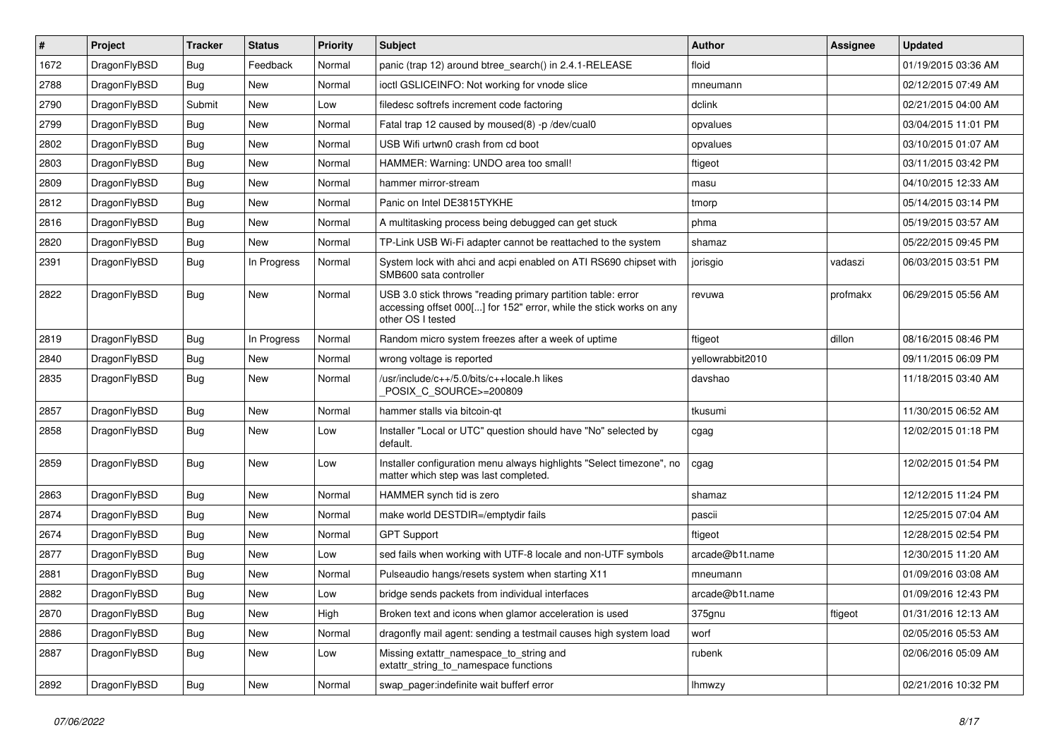| $\sharp$ | Project      | <b>Tracker</b> | <b>Status</b> | <b>Priority</b> | Subject                                                                                                                                                  | <b>Author</b>    | Assignee | <b>Updated</b>      |
|----------|--------------|----------------|---------------|-----------------|----------------------------------------------------------------------------------------------------------------------------------------------------------|------------------|----------|---------------------|
| 1672     | DragonFlyBSD | <b>Bug</b>     | Feedback      | Normal          | panic (trap 12) around btree_search() in 2.4.1-RELEASE                                                                                                   | floid            |          | 01/19/2015 03:36 AM |
| 2788     | DragonFlyBSD | Bug            | New           | Normal          | ioctl GSLICEINFO: Not working for vnode slice                                                                                                            | mneumann         |          | 02/12/2015 07:49 AM |
| 2790     | DragonFlyBSD | Submit         | New           | Low             | filedesc softrefs increment code factoring                                                                                                               | dclink           |          | 02/21/2015 04:00 AM |
| 2799     | DragonFlyBSD | <b>Bug</b>     | New           | Normal          | Fatal trap 12 caused by moused(8) -p/dev/cual0                                                                                                           | opvalues         |          | 03/04/2015 11:01 PM |
| 2802     | DragonFlyBSD | Bug            | <b>New</b>    | Normal          | USB Wifi urtwn0 crash from cd boot                                                                                                                       | opvalues         |          | 03/10/2015 01:07 AM |
| 2803     | DragonFlyBSD | <b>Bug</b>     | <b>New</b>    | Normal          | HAMMER: Warning: UNDO area too small!                                                                                                                    | ftigeot          |          | 03/11/2015 03:42 PM |
| 2809     | DragonFlyBSD | <b>Bug</b>     | New           | Normal          | hammer mirror-stream                                                                                                                                     | masu             |          | 04/10/2015 12:33 AM |
| 2812     | DragonFlyBSD | <b>Bug</b>     | New           | Normal          | Panic on Intel DE3815TYKHE                                                                                                                               | tmorp            |          | 05/14/2015 03:14 PM |
| 2816     | DragonFlyBSD | <b>Bug</b>     | New           | Normal          | A multitasking process being debugged can get stuck                                                                                                      | phma             |          | 05/19/2015 03:57 AM |
| 2820     | DragonFlyBSD | Bug            | New           | Normal          | TP-Link USB Wi-Fi adapter cannot be reattached to the system                                                                                             | shamaz           |          | 05/22/2015 09:45 PM |
| 2391     | DragonFlyBSD | <b>Bug</b>     | In Progress   | Normal          | System lock with ahci and acpi enabled on ATI RS690 chipset with<br>SMB600 sata controller                                                               | jorisgio         | vadaszi  | 06/03/2015 03:51 PM |
| 2822     | DragonFlyBSD | <b>Bug</b>     | <b>New</b>    | Normal          | USB 3.0 stick throws "reading primary partition table: error<br>accessing offset 000[] for 152" error, while the stick works on any<br>other OS I tested | revuwa           | profmakx | 06/29/2015 05:56 AM |
| 2819     | DragonFlyBSD | Bug            | In Progress   | Normal          | Random micro system freezes after a week of uptime                                                                                                       | ftigeot          | dillon   | 08/16/2015 08:46 PM |
| 2840     | DragonFlyBSD | <b>Bug</b>     | <b>New</b>    | Normal          | wrong voltage is reported                                                                                                                                | yellowrabbit2010 |          | 09/11/2015 06:09 PM |
| 2835     | DragonFlyBSD | Bug            | New           | Normal          | /usr/include/c++/5.0/bits/c++locale.h likes<br>POSIX C_SOURCE>=200809                                                                                    | davshao          |          | 11/18/2015 03:40 AM |
| 2857     | DragonFlyBSD | Bug            | New           | Normal          | hammer stalls via bitcoin-qt                                                                                                                             | tkusumi          |          | 11/30/2015 06:52 AM |
| 2858     | DragonFlyBSD | Bug            | New           | Low             | Installer "Local or UTC" question should have "No" selected by<br>default.                                                                               | cgag             |          | 12/02/2015 01:18 PM |
| 2859     | DragonFlyBSD | Bug            | New           | Low             | Installer configuration menu always highlights "Select timezone", no<br>matter which step was last completed.                                            | cgag             |          | 12/02/2015 01:54 PM |
| 2863     | DragonFlyBSD | Bug            | <b>New</b>    | Normal          | HAMMER synch tid is zero                                                                                                                                 | shamaz           |          | 12/12/2015 11:24 PM |
| 2874     | DragonFlyBSD | Bug            | New           | Normal          | make world DESTDIR=/emptydir fails                                                                                                                       | pascii           |          | 12/25/2015 07:04 AM |
| 2674     | DragonFlyBSD | <b>Bug</b>     | <b>New</b>    | Normal          | <b>GPT Support</b>                                                                                                                                       | ftigeot          |          | 12/28/2015 02:54 PM |
| 2877     | DragonFlyBSD | <b>Bug</b>     | New           | Low             | sed fails when working with UTF-8 locale and non-UTF symbols                                                                                             | arcade@b1t.name  |          | 12/30/2015 11:20 AM |
| 2881     | DragonFlyBSD | Bug            | <b>New</b>    | Normal          | Pulseaudio hangs/resets system when starting X11                                                                                                         | mneumann         |          | 01/09/2016 03:08 AM |
| 2882     | DragonFlyBSD | <b>Bug</b>     | <b>New</b>    | Low             | bridge sends packets from individual interfaces                                                                                                          | arcade@b1t.name  |          | 01/09/2016 12:43 PM |
| 2870     | DragonFlyBSD | Bug            | New           | High            | Broken text and icons when glamor acceleration is used                                                                                                   | 375gnu           | ftigeot  | 01/31/2016 12:13 AM |
| 2886     | DragonFlyBSD | Bug            | New           | Normal          | dragonfly mail agent: sending a testmail causes high system load                                                                                         | worf             |          | 02/05/2016 05:53 AM |
| 2887     | DragonFlyBSD | <b>Bug</b>     | New           | Low             | Missing extattr_namespace_to_string and<br>extattr_string_to_namespace functions                                                                         | rubenk           |          | 02/06/2016 05:09 AM |
| 2892     | DragonFlyBSD | <b>Bug</b>     | New           | Normal          | swap_pager:indefinite wait bufferf error                                                                                                                 | <b>Ihmwzy</b>    |          | 02/21/2016 10:32 PM |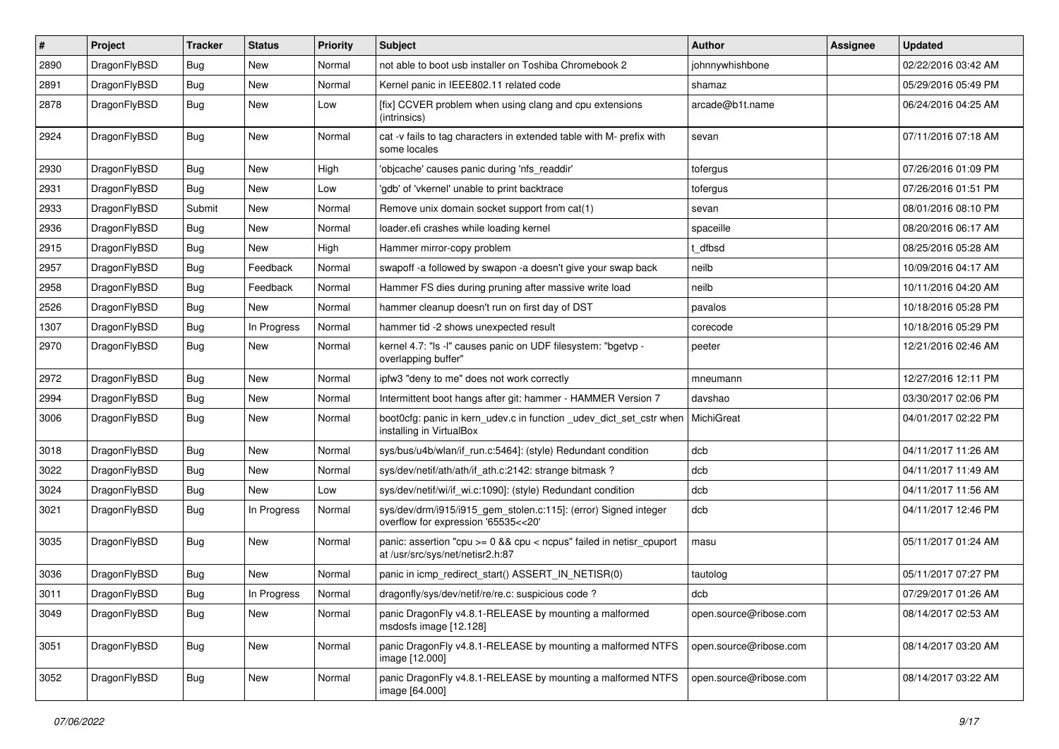| #    | Project      | <b>Tracker</b> | <b>Status</b> | <b>Priority</b> | Subject                                                                                                   | <b>Author</b>          | <b>Assignee</b> | <b>Updated</b>      |
|------|--------------|----------------|---------------|-----------------|-----------------------------------------------------------------------------------------------------------|------------------------|-----------------|---------------------|
| 2890 | DragonFlyBSD | <b>Bug</b>     | <b>New</b>    | Normal          | not able to boot usb installer on Toshiba Chromebook 2                                                    | johnnywhishbone        |                 | 02/22/2016 03:42 AM |
| 2891 | DragonFlyBSD | <b>Bug</b>     | New           | Normal          | Kernel panic in IEEE802.11 related code                                                                   | shamaz                 |                 | 05/29/2016 05:49 PM |
| 2878 | DragonFlyBSD | <b>Bug</b>     | New           | Low             | [fix] CCVER problem when using clang and cpu extensions<br>(intrinsics)                                   | arcade@b1t.name        |                 | 06/24/2016 04:25 AM |
| 2924 | DragonFlyBSD | <b>Bug</b>     | New           | Normal          | cat -v fails to tag characters in extended table with M- prefix with<br>some locales                      | sevan                  |                 | 07/11/2016 07:18 AM |
| 2930 | DragonFlyBSD | <b>Bug</b>     | <b>New</b>    | High            | 'objcache' causes panic during 'nfs_readdir'                                                              | tofergus               |                 | 07/26/2016 01:09 PM |
| 2931 | DragonFlyBSD | <b>Bug</b>     | New           | Low             | 'gdb' of 'vkernel' unable to print backtrace                                                              | tofergus               |                 | 07/26/2016 01:51 PM |
| 2933 | DragonFlyBSD | Submit         | <b>New</b>    | Normal          | Remove unix domain socket support from cat(1)                                                             | sevan                  |                 | 08/01/2016 08:10 PM |
| 2936 | DragonFlyBSD | <b>Bug</b>     | New           | Normal          | loader.efi crashes while loading kernel                                                                   | spaceille              |                 | 08/20/2016 06:17 AM |
| 2915 | DragonFlyBSD | <b>Bug</b>     | New           | High            | Hammer mirror-copy problem                                                                                | t dfbsd                |                 | 08/25/2016 05:28 AM |
| 2957 | DragonFlyBSD | <b>Bug</b>     | Feedback      | Normal          | swapoff -a followed by swapon -a doesn't give your swap back                                              | neilb                  |                 | 10/09/2016 04:17 AM |
| 2958 | DragonFlyBSD | <b>Bug</b>     | Feedback      | Normal          | Hammer FS dies during pruning after massive write load                                                    | neilb                  |                 | 10/11/2016 04:20 AM |
| 2526 | DragonFlyBSD | <b>Bug</b>     | New           | Normal          | hammer cleanup doesn't run on first day of DST                                                            | pavalos                |                 | 10/18/2016 05:28 PM |
| 1307 | DragonFlyBSD | <b>Bug</b>     | In Progress   | Normal          | hammer tid -2 shows unexpected result                                                                     | corecode               |                 | 10/18/2016 05:29 PM |
| 2970 | DragonFlyBSD | <b>Bug</b>     | New           | Normal          | kernel 4.7: "Is -I" causes panic on UDF filesystem: "bgetvp -<br>overlapping buffer"                      | peeter                 |                 | 12/21/2016 02:46 AM |
| 2972 | DragonFlyBSD | <b>Bug</b>     | <b>New</b>    | Normal          | ipfw3 "deny to me" does not work correctly                                                                | mneumann               |                 | 12/27/2016 12:11 PM |
| 2994 | DragonFlyBSD | <b>Bug</b>     | New           | Normal          | Intermittent boot hangs after git: hammer - HAMMER Version 7                                              | davshao                |                 | 03/30/2017 02:06 PM |
| 3006 | DragonFlyBSD | <b>Bug</b>     | <b>New</b>    | Normal          | boot0cfg: panic in kern_udev.c in function _udev_dict_set_cstr when<br>installing in VirtualBox           | MichiGreat             |                 | 04/01/2017 02:22 PM |
| 3018 | DragonFlyBSD | <b>Bug</b>     | New           | Normal          | sys/bus/u4b/wlan/if run.c:5464]: (style) Redundant condition                                              | dcb                    |                 | 04/11/2017 11:26 AM |
| 3022 | DragonFlyBSD | <b>Bug</b>     | New           | Normal          | sys/dev/netif/ath/ath/if_ath.c:2142: strange bitmask?                                                     | dcb                    |                 | 04/11/2017 11:49 AM |
| 3024 | DragonFlyBSD | <b>Bug</b>     | <b>New</b>    | Low             | sys/dev/netif/wi/if_wi.c:1090]: (style) Redundant condition                                               | dcb                    |                 | 04/11/2017 11:56 AM |
| 3021 | DragonFlyBSD | <b>Bug</b>     | In Progress   | Normal          | sys/dev/drm/i915/i915_gem_stolen.c:115]: (error) Signed integer<br>overflow for expression '65535<<20'    | dcb                    |                 | 04/11/2017 12:46 PM |
| 3035 | DragonFlyBSD | <b>Bug</b>     | New           | Normal          | panic: assertion "cpu $>= 0$ && cpu < ncpus" failed in netisr cpuport<br>at /usr/src/sys/net/netisr2.h:87 | masu                   |                 | 05/11/2017 01:24 AM |
| 3036 | DragonFlyBSD | <b>Bug</b>     | <b>New</b>    | Normal          | panic in icmp redirect start() ASSERT IN NETISR(0)                                                        | tautolog               |                 | 05/11/2017 07:27 PM |
| 3011 | DragonFlyBSD | Bug            | In Progress   | Normal          | dragonfly/sys/dev/netif/re/re.c: suspicious code?                                                         | dcb                    |                 | 07/29/2017 01:26 AM |
| 3049 | DragonFlyBSD | <b>Bug</b>     | New           | Normal          | panic DragonFly v4.8.1-RELEASE by mounting a malformed<br>msdosfs image [12.128]                          | open.source@ribose.com |                 | 08/14/2017 02:53 AM |
| 3051 | DragonFlyBSD | <b>Bug</b>     | <b>New</b>    | Normal          | panic DragonFly v4.8.1-RELEASE by mounting a malformed NTFS<br>image [12.000]                             | open.source@ribose.com |                 | 08/14/2017 03:20 AM |
| 3052 | DragonFlyBSD | <b>Bug</b>     | <b>New</b>    | Normal          | panic DragonFly v4.8.1-RELEASE by mounting a malformed NTFS<br>image [64.000]                             | open.source@ribose.com |                 | 08/14/2017 03:22 AM |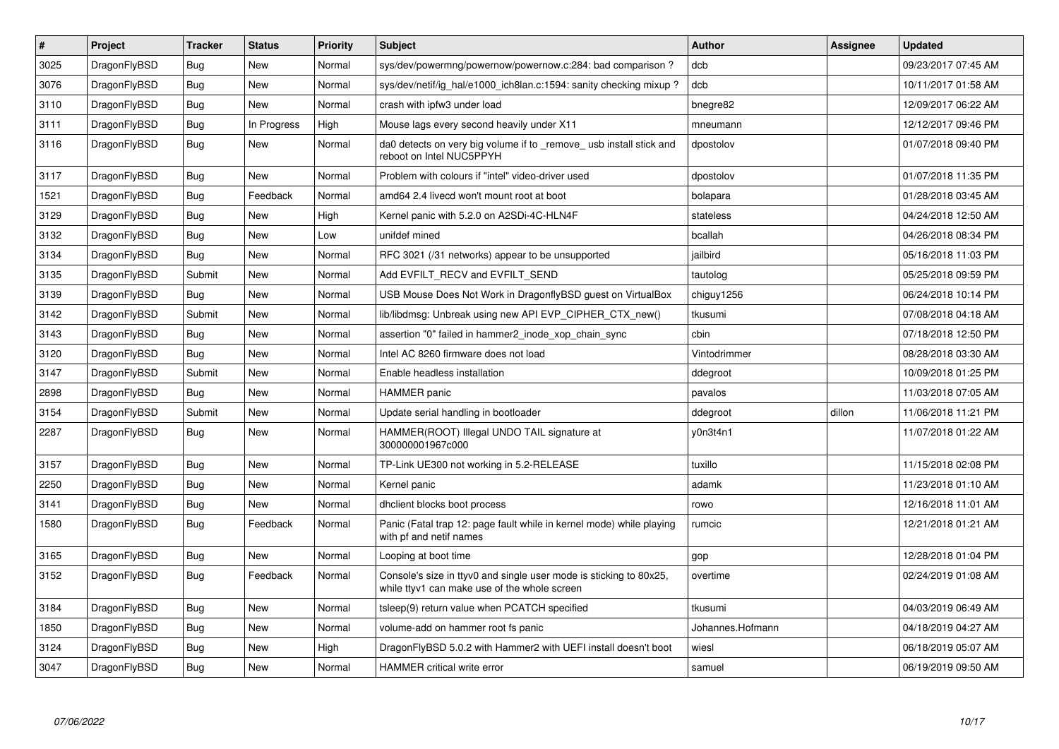| $\vert$ # | Project      | <b>Tracker</b> | <b>Status</b> | <b>Priority</b> | Subject                                                                                                            | <b>Author</b>    | Assignee | <b>Updated</b>      |
|-----------|--------------|----------------|---------------|-----------------|--------------------------------------------------------------------------------------------------------------------|------------------|----------|---------------------|
| 3025      | DragonFlyBSD | Bug            | New           | Normal          | sys/dev/powermng/powernow/powernow.c:284: bad comparison ?                                                         | dcb              |          | 09/23/2017 07:45 AM |
| 3076      | DragonFlyBSD | Bug            | <b>New</b>    | Normal          | sys/dev/netif/ig hal/e1000 ich8lan.c:1594: sanity checking mixup?                                                  | dcb              |          | 10/11/2017 01:58 AM |
| 3110      | DragonFlyBSD | <b>Bug</b>     | <b>New</b>    | Normal          | crash with ipfw3 under load                                                                                        | bnegre82         |          | 12/09/2017 06:22 AM |
| 3111      | DragonFlyBSD | <b>Bug</b>     | In Progress   | High            | Mouse lags every second heavily under X11                                                                          | mneumann         |          | 12/12/2017 09:46 PM |
| 3116      | DragonFlyBSD | Bug            | New           | Normal          | da0 detects on very big volume if to _remove_usb install stick and<br>reboot on Intel NUC5PPYH                     | dpostolov        |          | 01/07/2018 09:40 PM |
| 3117      | DragonFlyBSD | <b>Bug</b>     | <b>New</b>    | Normal          | Problem with colours if "intel" video-driver used                                                                  | dpostolov        |          | 01/07/2018 11:35 PM |
| 1521      | DragonFlyBSD | <b>Bug</b>     | Feedback      | Normal          | amd64 2.4 livecd won't mount root at boot                                                                          | bolapara         |          | 01/28/2018 03:45 AM |
| 3129      | DragonFlyBSD | Bug            | <b>New</b>    | High            | Kernel panic with 5.2.0 on A2SDi-4C-HLN4F                                                                          | stateless        |          | 04/24/2018 12:50 AM |
| 3132      | DragonFlyBSD | Bug            | New           | Low             | unifdef mined                                                                                                      | bcallah          |          | 04/26/2018 08:34 PM |
| 3134      | DragonFlyBSD | Bug            | <b>New</b>    | Normal          | RFC 3021 (/31 networks) appear to be unsupported                                                                   | jailbird         |          | 05/16/2018 11:03 PM |
| 3135      | DragonFlyBSD | Submit         | <b>New</b>    | Normal          | Add EVFILT RECV and EVFILT SEND                                                                                    | tautolog         |          | 05/25/2018 09:59 PM |
| 3139      | DragonFlyBSD | <b>Bug</b>     | <b>New</b>    | Normal          | USB Mouse Does Not Work in DragonflyBSD guest on VirtualBox                                                        | chiguy1256       |          | 06/24/2018 10:14 PM |
| 3142      | DragonFlyBSD | Submit         | <b>New</b>    | Normal          | lib/libdmsg: Unbreak using new API EVP CIPHER CTX new()                                                            | tkusumi          |          | 07/08/2018 04:18 AM |
| 3143      | DragonFlyBSD | Bug            | New           | Normal          | assertion "0" failed in hammer2 inode xop chain sync                                                               | cbin             |          | 07/18/2018 12:50 PM |
| 3120      | DragonFlyBSD | <b>Bug</b>     | <b>New</b>    | Normal          | Intel AC 8260 firmware does not load                                                                               | Vintodrimmer     |          | 08/28/2018 03:30 AM |
| 3147      | DragonFlyBSD | Submit         | <b>New</b>    | Normal          | Enable headless installation                                                                                       | ddegroot         |          | 10/09/2018 01:25 PM |
| 2898      | DragonFlyBSD | <b>Bug</b>     | <b>New</b>    | Normal          | <b>HAMMER</b> panic                                                                                                | pavalos          |          | 11/03/2018 07:05 AM |
| 3154      | DragonFlyBSD | Submit         | <b>New</b>    | Normal          | Update serial handling in bootloader                                                                               | ddegroot         | dillon   | 11/06/2018 11:21 PM |
| 2287      | DragonFlyBSD | Bug            | New           | Normal          | HAMMER(ROOT) Illegal UNDO TAIL signature at<br>300000001967c000                                                    | y0n3t4n1         |          | 11/07/2018 01:22 AM |
| 3157      | DragonFlyBSD | <b>Bug</b>     | <b>New</b>    | Normal          | TP-Link UE300 not working in 5.2-RELEASE                                                                           | tuxillo          |          | 11/15/2018 02:08 PM |
| 2250      | DragonFlyBSD | Bug            | <b>New</b>    | Normal          | Kernel panic                                                                                                       | adamk            |          | 11/23/2018 01:10 AM |
| 3141      | DragonFlyBSD | <b>Bug</b>     | <b>New</b>    | Normal          | dhclient blocks boot process                                                                                       | rowo             |          | 12/16/2018 11:01 AM |
| 1580      | DragonFlyBSD | <b>Bug</b>     | Feedback      | Normal          | Panic (Fatal trap 12: page fault while in kernel mode) while playing<br>with pf and netif names                    | rumcic           |          | 12/21/2018 01:21 AM |
| 3165      | DragonFlyBSD | <b>Bug</b>     | New           | Normal          | Looping at boot time                                                                                               | gop              |          | 12/28/2018 01:04 PM |
| 3152      | DragonFlyBSD | Bug            | Feedback      | Normal          | Console's size in ttyv0 and single user mode is sticking to 80x25,<br>while ttyv1 can make use of the whole screen | overtime         |          | 02/24/2019 01:08 AM |
| 3184      | DragonFlyBSD | <b>Bug</b>     | <b>New</b>    | Normal          | tsleep(9) return value when PCATCH specified                                                                       | tkusumi          |          | 04/03/2019 06:49 AM |
| 1850      | DragonFlyBSD | <b>Bug</b>     | New           | Normal          | volume-add on hammer root fs panic                                                                                 | Johannes.Hofmann |          | 04/18/2019 04:27 AM |
| 3124      | DragonFlyBSD | Bug            | <b>New</b>    | High            | DragonFlyBSD 5.0.2 with Hammer2 with UEFI install doesn't boot                                                     | wiesl            |          | 06/18/2019 05:07 AM |
| 3047      | DragonFlyBSD | <b>Bug</b>     | <b>New</b>    | Normal          | <b>HAMMER</b> critical write error                                                                                 | samuel           |          | 06/19/2019 09:50 AM |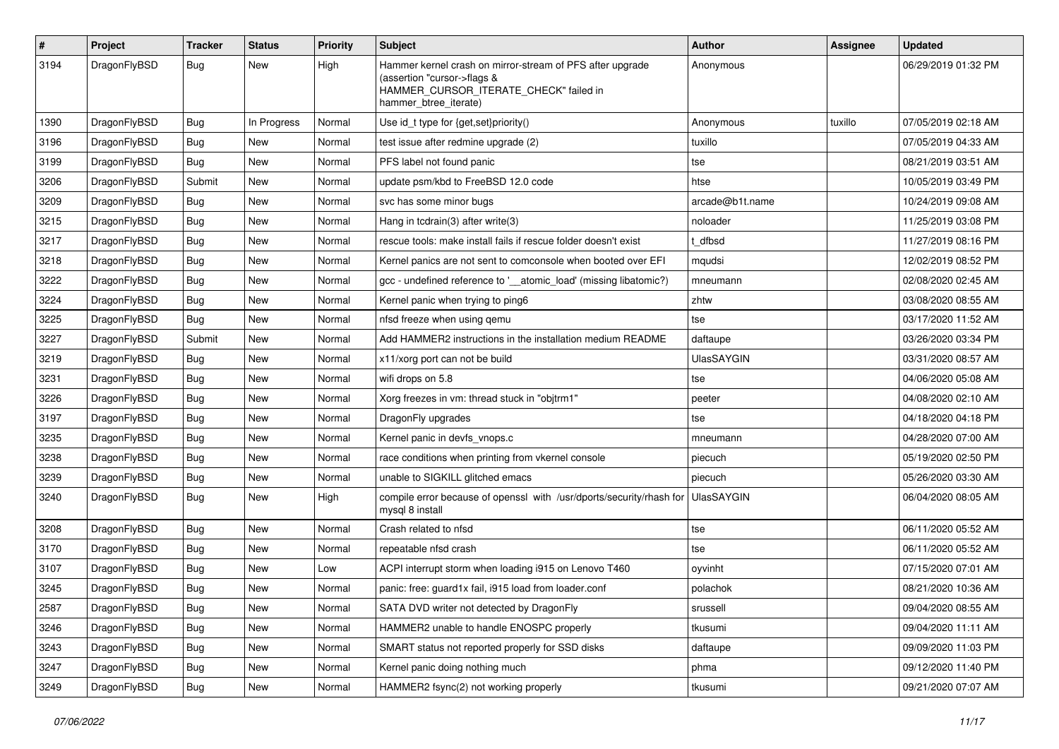| $\sharp$ | Project      | <b>Tracker</b> | <b>Status</b> | <b>Priority</b> | Subject                                                                                                                                                     | Author            | Assignee | <b>Updated</b>      |
|----------|--------------|----------------|---------------|-----------------|-------------------------------------------------------------------------------------------------------------------------------------------------------------|-------------------|----------|---------------------|
| 3194     | DragonFlyBSD | Bug            | New           | High            | Hammer kernel crash on mirror-stream of PFS after upgrade<br>(assertion "cursor->flags &<br>HAMMER_CURSOR_ITERATE_CHECK" failed in<br>hammer_btree_iterate) | Anonymous         |          | 06/29/2019 01:32 PM |
| 1390     | DragonFlyBSD | <b>Bug</b>     | In Progress   | Normal          | Use id_t type for {get,set}priority()                                                                                                                       | Anonymous         | tuxillo  | 07/05/2019 02:18 AM |
| 3196     | DragonFlyBSD | <b>Bug</b>     | New           | Normal          | test issue after redmine upgrade (2)                                                                                                                        | tuxillo           |          | 07/05/2019 04:33 AM |
| 3199     | DragonFlyBSD | Bug            | <b>New</b>    | Normal          | PFS label not found panic                                                                                                                                   | tse               |          | 08/21/2019 03:51 AM |
| 3206     | DragonFlyBSD | Submit         | New           | Normal          | update psm/kbd to FreeBSD 12.0 code                                                                                                                         | htse              |          | 10/05/2019 03:49 PM |
| 3209     | DragonFlyBSD | <b>Bug</b>     | <b>New</b>    | Normal          | svc has some minor bugs                                                                                                                                     | arcade@b1t.name   |          | 10/24/2019 09:08 AM |
| 3215     | DragonFlyBSD | Bug            | <b>New</b>    | Normal          | Hang in tcdrain(3) after write(3)                                                                                                                           | noloader          |          | 11/25/2019 03:08 PM |
| 3217     | DragonFlyBSD | Bug            | New           | Normal          | rescue tools: make install fails if rescue folder doesn't exist                                                                                             | t dfbsd           |          | 11/27/2019 08:16 PM |
| 3218     | DragonFlyBSD | <b>Bug</b>     | <b>New</b>    | Normal          | Kernel panics are not sent to comconsole when booted over EFI                                                                                               | mqudsi            |          | 12/02/2019 08:52 PM |
| 3222     | DragonFlyBSD | <b>Bug</b>     | <b>New</b>    | Normal          | gcc - undefined reference to '__atomic_load' (missing libatomic?)                                                                                           | mneumann          |          | 02/08/2020 02:45 AM |
| 3224     | DragonFlyBSD | <b>Bug</b>     | New           | Normal          | Kernel panic when trying to ping6                                                                                                                           | zhtw              |          | 03/08/2020 08:55 AM |
| 3225     | DragonFlyBSD | <b>Bug</b>     | <b>New</b>    | Normal          | nfsd freeze when using qemu                                                                                                                                 | tse               |          | 03/17/2020 11:52 AM |
| 3227     | DragonFlyBSD | Submit         | <b>New</b>    | Normal          | Add HAMMER2 instructions in the installation medium README                                                                                                  | daftaupe          |          | 03/26/2020 03:34 PM |
| 3219     | DragonFlyBSD | <b>Bug</b>     | New           | Normal          | x11/xorg port can not be build                                                                                                                              | <b>UlasSAYGIN</b> |          | 03/31/2020 08:57 AM |
| 3231     | DragonFlyBSD | Bug            | <b>New</b>    | Normal          | wifi drops on 5.8                                                                                                                                           | tse               |          | 04/06/2020 05:08 AM |
| 3226     | DragonFlyBSD | <b>Bug</b>     | New           | Normal          | Xorg freezes in vm: thread stuck in "objtrm1"                                                                                                               | peeter            |          | 04/08/2020 02:10 AM |
| 3197     | DragonFlyBSD | Bug            | <b>New</b>    | Normal          | DragonFly upgrades                                                                                                                                          | tse               |          | 04/18/2020 04:18 PM |
| 3235     | DragonFlyBSD | <b>Bug</b>     | <b>New</b>    | Normal          | Kernel panic in devfs vnops.c                                                                                                                               | mneumann          |          | 04/28/2020 07:00 AM |
| 3238     | DragonFlyBSD | <b>Bug</b>     | New           | Normal          | race conditions when printing from vkernel console                                                                                                          | piecuch           |          | 05/19/2020 02:50 PM |
| 3239     | DragonFlyBSD | Bug            | <b>New</b>    | Normal          | unable to SIGKILL glitched emacs                                                                                                                            | piecuch           |          | 05/26/2020 03:30 AM |
| 3240     | DragonFlyBSD | <b>Bug</b>     | New           | High            | compile error because of openssl with /usr/dports/security/rhash for<br>mysql 8 install                                                                     | <b>UlasSAYGIN</b> |          | 06/04/2020 08:05 AM |
| 3208     | DragonFlyBSD | Bug            | <b>New</b>    | Normal          | Crash related to nfsd                                                                                                                                       | tse               |          | 06/11/2020 05:52 AM |
| 3170     | DragonFlyBSD | <b>Bug</b>     | New           | Normal          | repeatable nfsd crash                                                                                                                                       | tse               |          | 06/11/2020 05:52 AM |
| 3107     | DragonFlyBSD | <b>Bug</b>     | <b>New</b>    | Low             | ACPI interrupt storm when loading i915 on Lenovo T460                                                                                                       | oyvinht           |          | 07/15/2020 07:01 AM |
| 3245     | DragonFlyBSD | <b>Bug</b>     | <b>New</b>    | Normal          | panic: free: guard1x fail, i915 load from loader.conf                                                                                                       | polachok          |          | 08/21/2020 10:36 AM |
| 2587     | DragonFlyBSD | <b>Bug</b>     | New           | Normal          | SATA DVD writer not detected by DragonFly                                                                                                                   | srussell          |          | 09/04/2020 08:55 AM |
| 3246     | DragonFlyBSD | <b>Bug</b>     | New           | Normal          | HAMMER2 unable to handle ENOSPC properly                                                                                                                    | tkusumi           |          | 09/04/2020 11:11 AM |
| 3243     | DragonFlyBSD | <b>Bug</b>     | New           | Normal          | SMART status not reported properly for SSD disks                                                                                                            | daftaupe          |          | 09/09/2020 11:03 PM |
| 3247     | DragonFlyBSD | <b>Bug</b>     | New           | Normal          | Kernel panic doing nothing much                                                                                                                             | phma              |          | 09/12/2020 11:40 PM |
| 3249     | DragonFlyBSD | <b>Bug</b>     | New           | Normal          | HAMMER2 fsync(2) not working properly                                                                                                                       | tkusumi           |          | 09/21/2020 07:07 AM |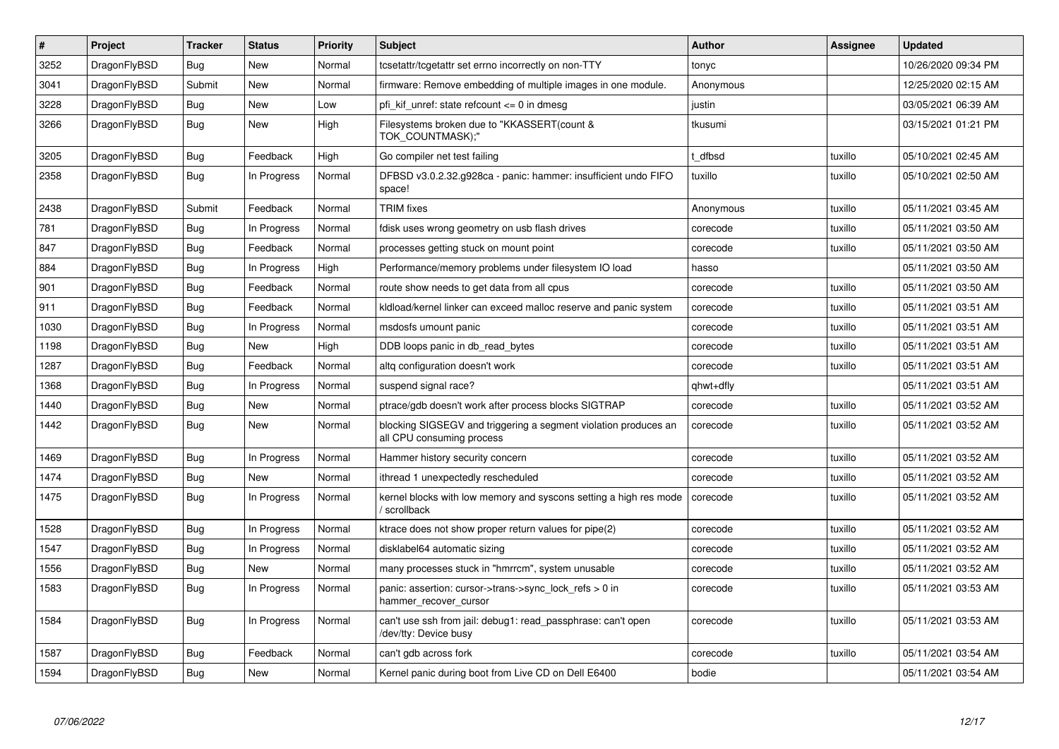| #    | Project      | Tracker    | <b>Status</b> | <b>Priority</b> | <b>Subject</b>                                                                               | Author    | Assignee | Updated             |
|------|--------------|------------|---------------|-----------------|----------------------------------------------------------------------------------------------|-----------|----------|---------------------|
| 3252 | DragonFlyBSD | <b>Bug</b> | <b>New</b>    | Normal          | tcsetattr/tcgetattr set errno incorrectly on non-TTY                                         | tonyc     |          | 10/26/2020 09:34 PM |
| 3041 | DragonFlyBSD | Submit     | <b>New</b>    | Normal          | firmware: Remove embedding of multiple images in one module.                                 | Anonymous |          | 12/25/2020 02:15 AM |
| 3228 | DragonFlyBSD | Bug        | <b>New</b>    | Low             | pfi kif unref: state refcount $\leq 0$ in dmesg                                              | justin    |          | 03/05/2021 06:39 AM |
| 3266 | DragonFlyBSD | <b>Bug</b> | <b>New</b>    | High            | Filesystems broken due to "KKASSERT(count &<br>TOK_COUNTMASK);"                              | tkusumi   |          | 03/15/2021 01:21 PM |
| 3205 | DragonFlyBSD | Bug        | Feedback      | High            | Go compiler net test failing                                                                 | t dfbsd   | tuxillo  | 05/10/2021 02:45 AM |
| 2358 | DragonFlyBSD | Bug        | In Progress   | Normal          | DFBSD v3.0.2.32.g928ca - panic: hammer: insufficient undo FIFO<br>space!                     | tuxillo   | tuxillo  | 05/10/2021 02:50 AM |
| 2438 | DragonFlyBSD | Submit     | Feedback      | Normal          | <b>TRIM</b> fixes                                                                            | Anonymous | tuxillo  | 05/11/2021 03:45 AM |
| 781  | DragonFlyBSD | <b>Bug</b> | In Progress   | Normal          | fdisk uses wrong geometry on usb flash drives                                                | corecode  | tuxillo  | 05/11/2021 03:50 AM |
| 847  | DragonFlyBSD | Bug        | Feedback      | Normal          | processes getting stuck on mount point                                                       | corecode  | tuxillo  | 05/11/2021 03:50 AM |
| 884  | DragonFlyBSD | <b>Bug</b> | In Progress   | High            | Performance/memory problems under filesystem IO load                                         | hasso     |          | 05/11/2021 03:50 AM |
| 901  | DragonFlyBSD | Bug        | Feedback      | Normal          | route show needs to get data from all cpus                                                   | corecode  | tuxillo  | 05/11/2021 03:50 AM |
| 911  | DragonFlyBSD | <b>Bug</b> | Feedback      | Normal          | kldload/kernel linker can exceed malloc reserve and panic system                             | corecode  | tuxillo  | 05/11/2021 03:51 AM |
| 1030 | DragonFlyBSD | <b>Bug</b> | In Progress   | Normal          | msdosfs umount panic                                                                         | corecode  | tuxillo  | 05/11/2021 03:51 AM |
| 1198 | DragonFlyBSD | <b>Bug</b> | <b>New</b>    | High            | DDB loops panic in db_read_bytes                                                             | corecode  | tuxillo  | 05/11/2021 03:51 AM |
| 1287 | DragonFlyBSD | Bug        | Feedback      | Normal          | altg configuration doesn't work                                                              | corecode  | tuxillo  | 05/11/2021 03:51 AM |
| 1368 | DragonFlyBSD | <b>Bug</b> | In Progress   | Normal          | suspend signal race?                                                                         | qhwt+dfly |          | 05/11/2021 03:51 AM |
| 1440 | DragonFlyBSD | Bug        | <b>New</b>    | Normal          | ptrace/gdb doesn't work after process blocks SIGTRAP                                         | corecode  | tuxillo  | 05/11/2021 03:52 AM |
| 1442 | DragonFlyBSD | <b>Bug</b> | <b>New</b>    | Normal          | blocking SIGSEGV and triggering a segment violation produces an<br>all CPU consuming process | corecode  | tuxillo  | 05/11/2021 03:52 AM |
| 1469 | DragonFlyBSD | <b>Bug</b> | In Progress   | Normal          | Hammer history security concern                                                              | corecode  | tuxillo  | 05/11/2021 03:52 AM |
| 1474 | DragonFlyBSD | Bug        | <b>New</b>    | Normal          | ithread 1 unexpectedly rescheduled                                                           | corecode  | tuxillo  | 05/11/2021 03:52 AM |
| 1475 | DragonFlyBSD | Bug        | In Progress   | Normal          | kernel blocks with low memory and syscons setting a high res mode<br>' scrollback            | corecode  | tuxillo  | 05/11/2021 03:52 AM |
| 1528 | DragonFlyBSD | <b>Bug</b> | In Progress   | Normal          | ktrace does not show proper return values for pipe(2)                                        | corecode  | tuxillo  | 05/11/2021 03:52 AM |
| 1547 | DragonFlyBSD | Bug        | In Progress   | Normal          | disklabel64 automatic sizing                                                                 | corecode  | tuxillo  | 05/11/2021 03:52 AM |
| 1556 | DragonFlyBSD | <b>Bug</b> | <b>New</b>    | Normal          | many processes stuck in "hmrrcm", system unusable                                            | corecode  | tuxillo  | 05/11/2021 03:52 AM |
| 1583 | DragonFlyBSD | <b>Bug</b> | In Progress   | Normal          | panic: assertion: cursor->trans->sync_lock_refs > 0 in<br>hammer recover cursor              | corecode  | tuxillo  | 05/11/2021 03:53 AM |
| 1584 | DragonFlyBSD | Bug        | In Progress   | Normal          | can't use ssh from jail: debug1: read passphrase: can't open<br>/dev/tty: Device busy        | corecode  | tuxillo  | 05/11/2021 03:53 AM |
| 1587 | DragonFlyBSD | Bug        | Feedback      | Normal          | can't gdb across fork                                                                        | corecode  | tuxillo  | 05/11/2021 03:54 AM |
| 1594 | DragonFlyBSD | <b>Bug</b> | <b>New</b>    | Normal          | Kernel panic during boot from Live CD on Dell E6400                                          | bodie     |          | 05/11/2021 03:54 AM |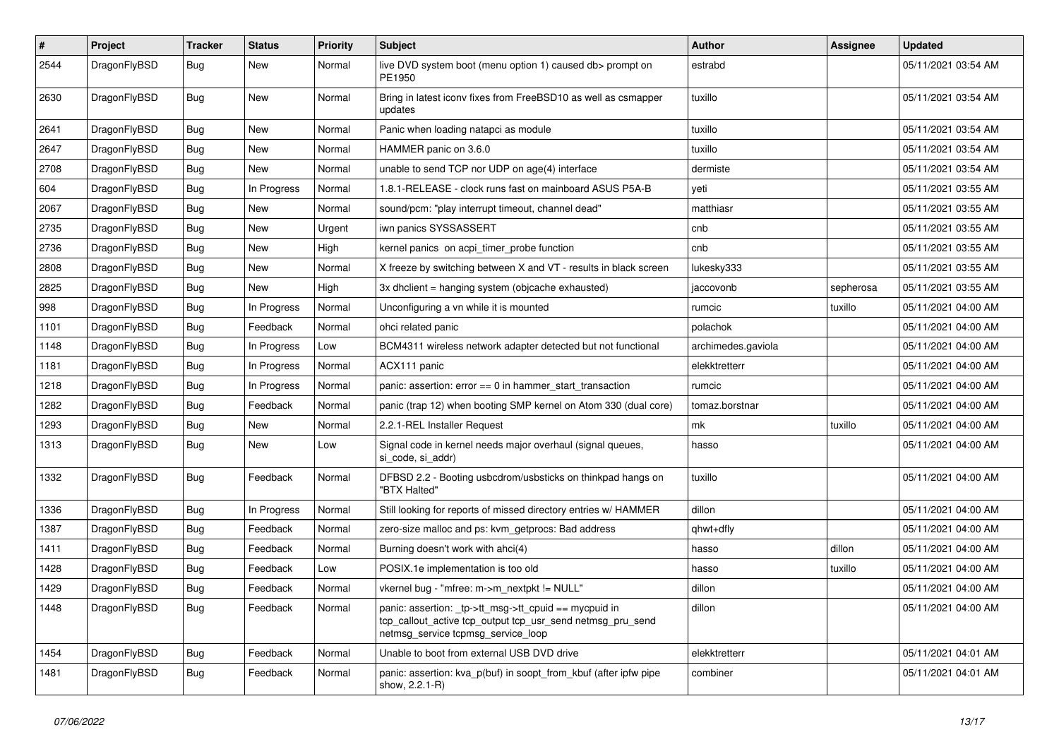| #    | Project      | <b>Tracker</b> | <b>Status</b> | <b>Priority</b> | Subject                                                                                                                                                   | Author             | Assignee  | <b>Updated</b>      |
|------|--------------|----------------|---------------|-----------------|-----------------------------------------------------------------------------------------------------------------------------------------------------------|--------------------|-----------|---------------------|
| 2544 | DragonFlyBSD | Bug            | New           | Normal          | live DVD system boot (menu option 1) caused db> prompt on<br>PE1950                                                                                       | estrabd            |           | 05/11/2021 03:54 AM |
| 2630 | DragonFlyBSD | Bug            | <b>New</b>    | Normal          | Bring in latest iconv fixes from FreeBSD10 as well as csmapper<br>updates                                                                                 | tuxillo            |           | 05/11/2021 03:54 AM |
| 2641 | DragonFlyBSD | <b>Bug</b>     | <b>New</b>    | Normal          | Panic when loading natapci as module                                                                                                                      | tuxillo            |           | 05/11/2021 03:54 AM |
| 2647 | DragonFlyBSD | <b>Bug</b>     | New           | Normal          | HAMMER panic on 3.6.0                                                                                                                                     | tuxillo            |           | 05/11/2021 03:54 AM |
| 2708 | DragonFlyBSD | Bug            | New           | Normal          | unable to send TCP nor UDP on age(4) interface                                                                                                            | dermiste           |           | 05/11/2021 03:54 AM |
| 604  | DragonFlyBSD | <b>Bug</b>     | In Progress   | Normal          | 1.8.1-RELEASE - clock runs fast on mainboard ASUS P5A-B                                                                                                   | yeti               |           | 05/11/2021 03:55 AM |
| 2067 | DragonFlyBSD | <b>Bug</b>     | New           | Normal          | sound/pcm: "play interrupt timeout, channel dead"                                                                                                         | matthiasr          |           | 05/11/2021 03:55 AM |
| 2735 | DragonFlyBSD | <b>Bug</b>     | <b>New</b>    | Urgent          | iwn panics SYSSASSERT                                                                                                                                     | cnb                |           | 05/11/2021 03:55 AM |
| 2736 | DragonFlyBSD | <b>Bug</b>     | New           | High            | kernel panics on acpi timer probe function                                                                                                                | cnb                |           | 05/11/2021 03:55 AM |
| 2808 | DragonFlyBSD | Bug            | <b>New</b>    | Normal          | X freeze by switching between X and VT - results in black screen                                                                                          | lukesky333         |           | 05/11/2021 03:55 AM |
| 2825 | DragonFlyBSD | <b>Bug</b>     | New           | High            | 3x dhclient = hanging system (objcache exhausted)                                                                                                         | jaccovonb          | sepherosa | 05/11/2021 03:55 AM |
| 998  | DragonFlyBSD | <b>Bug</b>     | In Progress   | Normal          | Unconfiguring a vn while it is mounted                                                                                                                    | rumcic             | tuxillo   | 05/11/2021 04:00 AM |
| 1101 | DragonFlyBSD | Bug            | Feedback      | Normal          | ohci related panic                                                                                                                                        | polachok           |           | 05/11/2021 04:00 AM |
| 1148 | DragonFlyBSD | <b>Bug</b>     | In Progress   | Low             | BCM4311 wireless network adapter detected but not functional                                                                                              | archimedes.gaviola |           | 05/11/2021 04:00 AM |
| 1181 | DragonFlyBSD | Bug            | In Progress   | Normal          | ACX111 panic                                                                                                                                              | elekktretterr      |           | 05/11/2021 04:00 AM |
| 1218 | DragonFlyBSD | <b>Bug</b>     | In Progress   | Normal          | panic: assertion: $error == 0$ in hammer start transaction                                                                                                | rumcic             |           | 05/11/2021 04:00 AM |
| 1282 | DragonFlyBSD | <b>Bug</b>     | Feedback      | Normal          | panic (trap 12) when booting SMP kernel on Atom 330 (dual core)                                                                                           | tomaz.borstnar     |           | 05/11/2021 04:00 AM |
| 1293 | DragonFlyBSD | Bug            | New           | Normal          | 2.2.1-REL Installer Request                                                                                                                               | mk                 | tuxillo   | 05/11/2021 04:00 AM |
| 1313 | DragonFlyBSD | <b>Bug</b>     | New           | Low             | Signal code in kernel needs major overhaul (signal queues,<br>si_code, si_addr)                                                                           | hasso              |           | 05/11/2021 04:00 AM |
| 1332 | DragonFlyBSD | Bug            | Feedback      | Normal          | DFBSD 2.2 - Booting usbcdrom/usbsticks on thinkpad hangs on<br>"BTX Halted"                                                                               | tuxillo            |           | 05/11/2021 04:00 AM |
| 1336 | DragonFlyBSD | <b>Bug</b>     | In Progress   | Normal          | Still looking for reports of missed directory entries w/ HAMMER                                                                                           | dillon             |           | 05/11/2021 04:00 AM |
| 1387 | DragonFlyBSD | <b>Bug</b>     | Feedback      | Normal          | zero-size malloc and ps: kvm_getprocs: Bad address                                                                                                        | qhwt+dfly          |           | 05/11/2021 04:00 AM |
| 1411 | DragonFlyBSD | <b>Bug</b>     | Feedback      | Normal          | Burning doesn't work with ahci(4)                                                                                                                         | hasso              | dillon    | 05/11/2021 04:00 AM |
| 1428 | DragonFlyBSD | <b>Bug</b>     | Feedback      | Low             | POSIX.1e implementation is too old                                                                                                                        | hasso              | tuxillo   | 05/11/2021 04:00 AM |
| 1429 | DragonFlyBSD | <b>Bug</b>     | Feedback      | Normal          | vkernel bug - "mfree: m->m_nextpkt != NULL"                                                                                                               | dillon             |           | 05/11/2021 04:00 AM |
| 1448 | DragonFlyBSD | Bug            | Feedback      | Normal          | panic: assertion: _tp->tt_msg->tt_cpuid == mycpuid in<br>tcp callout active tcp output tcp usr send netmsg pru send<br>netmsg_service tcpmsg_service_loop | dillon             |           | 05/11/2021 04:00 AM |
| 1454 | DragonFlyBSD | Bug            | Feedback      | Normal          | Unable to boot from external USB DVD drive                                                                                                                | elekktretterr      |           | 05/11/2021 04:01 AM |
| 1481 | DragonFlyBSD | <b>Bug</b>     | Feedback      | Normal          | panic: assertion: kva_p(buf) in soopt_from_kbuf (after ipfw pipe<br>show, 2.2.1-R)                                                                        | combiner           |           | 05/11/2021 04:01 AM |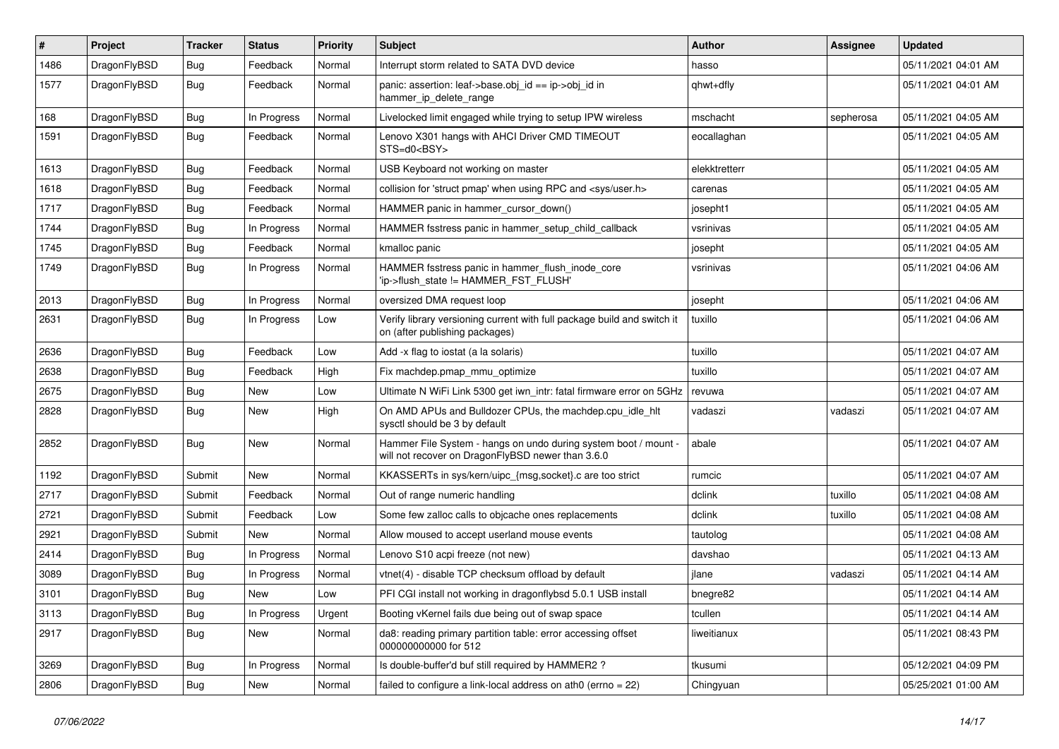| #    | Project      | <b>Tracker</b> | <b>Status</b> | <b>Priority</b> | Subject                                                                                                              | <b>Author</b> | Assignee  | <b>Updated</b>      |
|------|--------------|----------------|---------------|-----------------|----------------------------------------------------------------------------------------------------------------------|---------------|-----------|---------------------|
| 1486 | DragonFlyBSD | <b>Bug</b>     | Feedback      | Normal          | Interrupt storm related to SATA DVD device                                                                           | hasso         |           | 05/11/2021 04:01 AM |
| 1577 | DragonFlyBSD | <b>Bug</b>     | Feedback      | Normal          | panic: assertion: leaf->base.obj_id == ip->obj_id in<br>hammer_ip_delete_range                                       | qhwt+dfly     |           | 05/11/2021 04:01 AM |
| 168  | DragonFlyBSD | <b>Bug</b>     | In Progress   | Normal          | Livelocked limit engaged while trying to setup IPW wireless                                                          | mschacht      | sepherosa | 05/11/2021 04:05 AM |
| 1591 | DragonFlyBSD | <b>Bug</b>     | Feedback      | Normal          | Lenovo X301 hangs with AHCI Driver CMD TIMEOUT<br>STS=d0 <bsy></bsy>                                                 | eocallaghan   |           | 05/11/2021 04:05 AM |
| 1613 | DragonFlyBSD | <b>Bug</b>     | Feedback      | Normal          | USB Keyboard not working on master                                                                                   | elekktretterr |           | 05/11/2021 04:05 AM |
| 1618 | DragonFlyBSD | <b>Bug</b>     | Feedback      | Normal          | collision for 'struct pmap' when using RPC and <sys user.h=""></sys>                                                 | carenas       |           | 05/11/2021 04:05 AM |
| 1717 | DragonFlyBSD | <b>Bug</b>     | Feedback      | Normal          | HAMMER panic in hammer cursor down()                                                                                 | josepht1      |           | 05/11/2021 04:05 AM |
| 1744 | DragonFlyBSD | <b>Bug</b>     | In Progress   | Normal          | HAMMER fsstress panic in hammer_setup_child_callback                                                                 | vsrinivas     |           | 05/11/2021 04:05 AM |
| 1745 | DragonFlyBSD | <b>Bug</b>     | Feedback      | Normal          | kmalloc panic                                                                                                        | josepht       |           | 05/11/2021 04:05 AM |
| 1749 | DragonFlyBSD | <b>Bug</b>     | In Progress   | Normal          | HAMMER fsstress panic in hammer_flush_inode_core<br>'ip->flush_state != HAMMER_FST_FLUSH'                            | vsrinivas     |           | 05/11/2021 04:06 AM |
| 2013 | DragonFlyBSD | <b>Bug</b>     | In Progress   | Normal          | oversized DMA request loop                                                                                           | josepht       |           | 05/11/2021 04:06 AM |
| 2631 | DragonFlyBSD | <b>Bug</b>     | In Progress   | Low             | Verify library versioning current with full package build and switch it<br>on (after publishing packages)            | tuxillo       |           | 05/11/2021 04:06 AM |
| 2636 | DragonFlyBSD | Bug            | Feedback      | Low             | Add -x flag to iostat (a la solaris)                                                                                 | tuxillo       |           | 05/11/2021 04:07 AM |
| 2638 | DragonFlyBSD | Bug            | Feedback      | High            | Fix machdep.pmap mmu optimize                                                                                        | tuxillo       |           | 05/11/2021 04:07 AM |
| 2675 | DragonFlyBSD | Bug            | New           | Low             | Ultimate N WiFi Link 5300 get iwn_intr: fatal firmware error on 5GHz                                                 | revuwa        |           | 05/11/2021 04:07 AM |
| 2828 | DragonFlyBSD | Bug            | <b>New</b>    | High            | On AMD APUs and Bulldozer CPUs, the machdep.cpu_idle_hlt<br>sysctl should be 3 by default                            | vadaszi       | vadaszi   | 05/11/2021 04:07 AM |
| 2852 | DragonFlyBSD | Bug            | New           | Normal          | Hammer File System - hangs on undo during system boot / mount -<br>will not recover on DragonFlyBSD newer than 3.6.0 | abale         |           | 05/11/2021 04:07 AM |
| 1192 | DragonFlyBSD | Submit         | <b>New</b>    | Normal          | KKASSERTs in sys/kern/uipc_{msg,socket}.c are too strict                                                             | rumcic        |           | 05/11/2021 04:07 AM |
| 2717 | DragonFlyBSD | Submit         | Feedback      | Normal          | Out of range numeric handling                                                                                        | dclink        | tuxillo   | 05/11/2021 04:08 AM |
| 2721 | DragonFlyBSD | Submit         | Feedback      | Low             | Some few zalloc calls to objcache ones replacements                                                                  | dclink        | tuxillo   | 05/11/2021 04:08 AM |
| 2921 | DragonFlyBSD | Submit         | New           | Normal          | Allow moused to accept userland mouse events                                                                         | tautolog      |           | 05/11/2021 04:08 AM |
| 2414 | DragonFlyBSD | Bug            | In Progress   | Normal          | Lenovo S10 acpi freeze (not new)                                                                                     | davshao       |           | 05/11/2021 04:13 AM |
| 3089 | DragonFlyBSD | Bug            | In Progress   | Normal          | vtnet(4) - disable TCP checksum offload by default                                                                   | jlane         | vadaszi   | 05/11/2021 04:14 AM |
| 3101 | DragonFlyBSD | Bug            | <b>New</b>    | Low             | PFI CGI install not working in dragonflybsd 5.0.1 USB install                                                        | bnegre82      |           | 05/11/2021 04:14 AM |
| 3113 | DragonFlyBSD | <b>Bug</b>     | In Progress   | Urgent          | Booting vKernel fails due being out of swap space                                                                    | tcullen       |           | 05/11/2021 04:14 AM |
| 2917 | DragonFlyBSD | <b>Bug</b>     | New           | Normal          | da8: reading primary partition table: error accessing offset<br>000000000000 for 512                                 | liweitianux   |           | 05/11/2021 08:43 PM |
| 3269 | DragonFlyBSD | <b>Bug</b>     | In Progress   | Normal          | Is double-buffer'd buf still required by HAMMER2?                                                                    | tkusumi       |           | 05/12/2021 04:09 PM |
| 2806 | DragonFlyBSD | <b>Bug</b>     | New           | Normal          | failed to configure a link-local address on ath $0$ (errno = 22)                                                     | Chingyuan     |           | 05/25/2021 01:00 AM |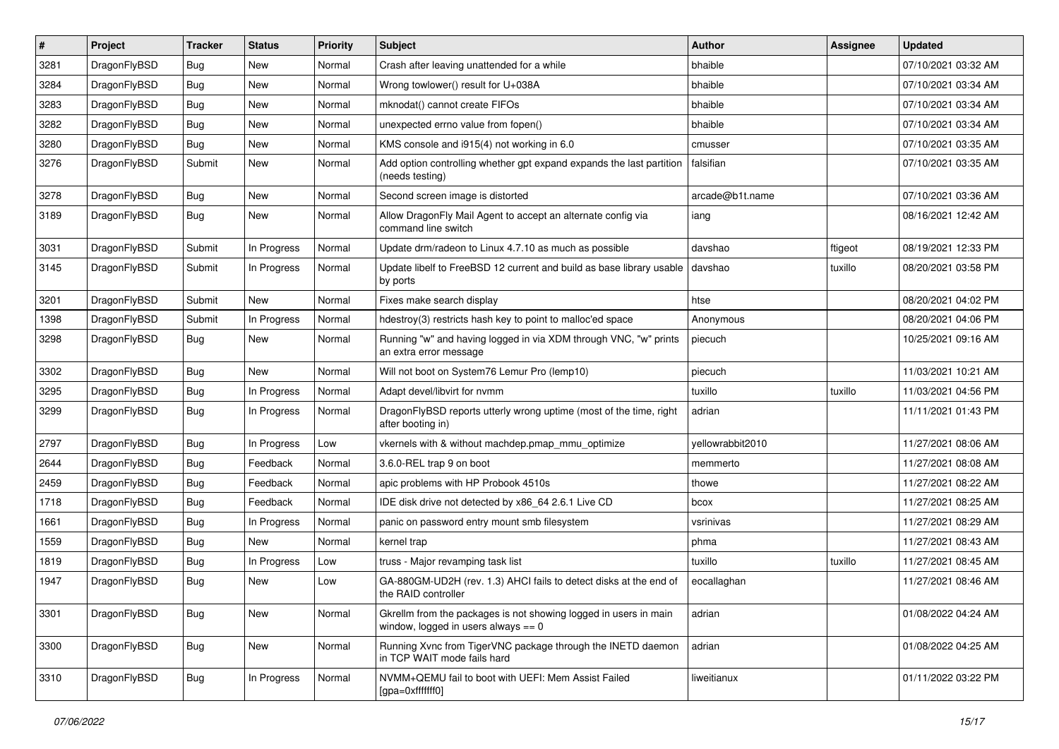| #    | Project      | <b>Tracker</b> | <b>Status</b> | <b>Priority</b> | Subject                                                                                                   | <b>Author</b>    | Assignee | <b>Updated</b>      |
|------|--------------|----------------|---------------|-----------------|-----------------------------------------------------------------------------------------------------------|------------------|----------|---------------------|
| 3281 | DragonFlyBSD | <b>Bug</b>     | New           | Normal          | Crash after leaving unattended for a while                                                                | bhaible          |          | 07/10/2021 03:32 AM |
| 3284 | DragonFlyBSD | <b>Bug</b>     | New           | Normal          | Wrong towlower() result for U+038A                                                                        | bhaible          |          | 07/10/2021 03:34 AM |
| 3283 | DragonFlyBSD | <b>Bug</b>     | New           | Normal          | mknodat() cannot create FIFOs                                                                             | bhaible          |          | 07/10/2021 03:34 AM |
| 3282 | DragonFlyBSD | <b>Bug</b>     | New           | Normal          | unexpected errno value from fopen()                                                                       | bhaible          |          | 07/10/2021 03:34 AM |
| 3280 | DragonFlyBSD | <b>Bug</b>     | New           | Normal          | KMS console and i915(4) not working in 6.0                                                                | cmusser          |          | 07/10/2021 03:35 AM |
| 3276 | DragonFlyBSD | Submit         | New           | Normal          | Add option controlling whether gpt expand expands the last partition<br>(needs testing)                   | falsifian        |          | 07/10/2021 03:35 AM |
| 3278 | DragonFlyBSD | <b>Bug</b>     | New           | Normal          | Second screen image is distorted                                                                          | arcade@b1t.name  |          | 07/10/2021 03:36 AM |
| 3189 | DragonFlyBSD | Bug            | New           | Normal          | Allow DragonFly Mail Agent to accept an alternate config via<br>command line switch                       | iang             |          | 08/16/2021 12:42 AM |
| 3031 | DragonFlyBSD | Submit         | In Progress   | Normal          | Update drm/radeon to Linux 4.7.10 as much as possible                                                     | davshao          | ftigeot  | 08/19/2021 12:33 PM |
| 3145 | DragonFlyBSD | Submit         | In Progress   | Normal          | Update libelf to FreeBSD 12 current and build as base library usable<br>by ports                          | davshao          | tuxillo  | 08/20/2021 03:58 PM |
| 3201 | DragonFlyBSD | Submit         | New           | Normal          | Fixes make search display                                                                                 | htse             |          | 08/20/2021 04:02 PM |
| 1398 | DragonFlyBSD | Submit         | In Progress   | Normal          | hdestroy(3) restricts hash key to point to malloc'ed space                                                | Anonymous        |          | 08/20/2021 04:06 PM |
| 3298 | DragonFlyBSD | Bug            | New           | Normal          | Running "w" and having logged in via XDM through VNC, "w" prints<br>an extra error message                | piecuch          |          | 10/25/2021 09:16 AM |
| 3302 | DragonFlyBSD | <b>Bug</b>     | New           | Normal          | Will not boot on System76 Lemur Pro (lemp10)                                                              | piecuch          |          | 11/03/2021 10:21 AM |
| 3295 | DragonFlyBSD | <b>Bug</b>     | In Progress   | Normal          | Adapt devel/libvirt for nvmm                                                                              | tuxillo          | tuxillo  | 11/03/2021 04:56 PM |
| 3299 | DragonFlyBSD | <b>Bug</b>     | In Progress   | Normal          | DragonFlyBSD reports utterly wrong uptime (most of the time, right<br>after booting in)                   | adrian           |          | 11/11/2021 01:43 PM |
| 2797 | DragonFlyBSD | <b>Bug</b>     | In Progress   | Low             | vkernels with & without machdep.pmap mmu optimize                                                         | vellowrabbit2010 |          | 11/27/2021 08:06 AM |
| 2644 | DragonFlyBSD | <b>Bug</b>     | Feedback      | Normal          | 3.6.0-REL trap 9 on boot                                                                                  | memmerto         |          | 11/27/2021 08:08 AM |
| 2459 | DragonFlyBSD | <b>Bug</b>     | Feedback      | Normal          | apic problems with HP Probook 4510s                                                                       | thowe            |          | 11/27/2021 08:22 AM |
| 1718 | DragonFlyBSD | <b>Bug</b>     | Feedback      | Normal          | IDE disk drive not detected by x86_64 2.6.1 Live CD                                                       | bcox             |          | 11/27/2021 08:25 AM |
| 1661 | DragonFlyBSD | <b>Bug</b>     | In Progress   | Normal          | panic on password entry mount smb filesystem                                                              | vsrinivas        |          | 11/27/2021 08:29 AM |
| 1559 | DragonFlyBSD | <b>Bug</b>     | New           | Normal          | kernel trap                                                                                               | phma             |          | 11/27/2021 08:43 AM |
| 1819 | DragonFlyBSD | <b>Bug</b>     | In Progress   | Low             | truss - Major revamping task list                                                                         | tuxillo          | tuxillo  | 11/27/2021 08:45 AM |
| 1947 | DragonFlyBSD | <b>Bug</b>     | <b>New</b>    | Low             | GA-880GM-UD2H (rev. 1.3) AHCI fails to detect disks at the end of<br>the RAID controller                  | eocallaghan      |          | 11/27/2021 08:46 AM |
| 3301 | DragonFlyBSD | Bug            | New           | Normal          | Gkrellm from the packages is not showing logged in users in main<br>window, logged in users always $== 0$ | adrian           |          | 01/08/2022 04:24 AM |
| 3300 | DragonFlyBSD | <b>Bug</b>     | New           | Normal          | Running Xvnc from TigerVNC package through the INETD daemon<br>in TCP WAIT mode fails hard                | adrian           |          | 01/08/2022 04:25 AM |
| 3310 | DragonFlyBSD | <b>Bug</b>     | In Progress   | Normal          | NVMM+QEMU fail to boot with UEFI: Mem Assist Failed<br>[gpa=0xfffffff0]                                   | liweitianux      |          | 01/11/2022 03:22 PM |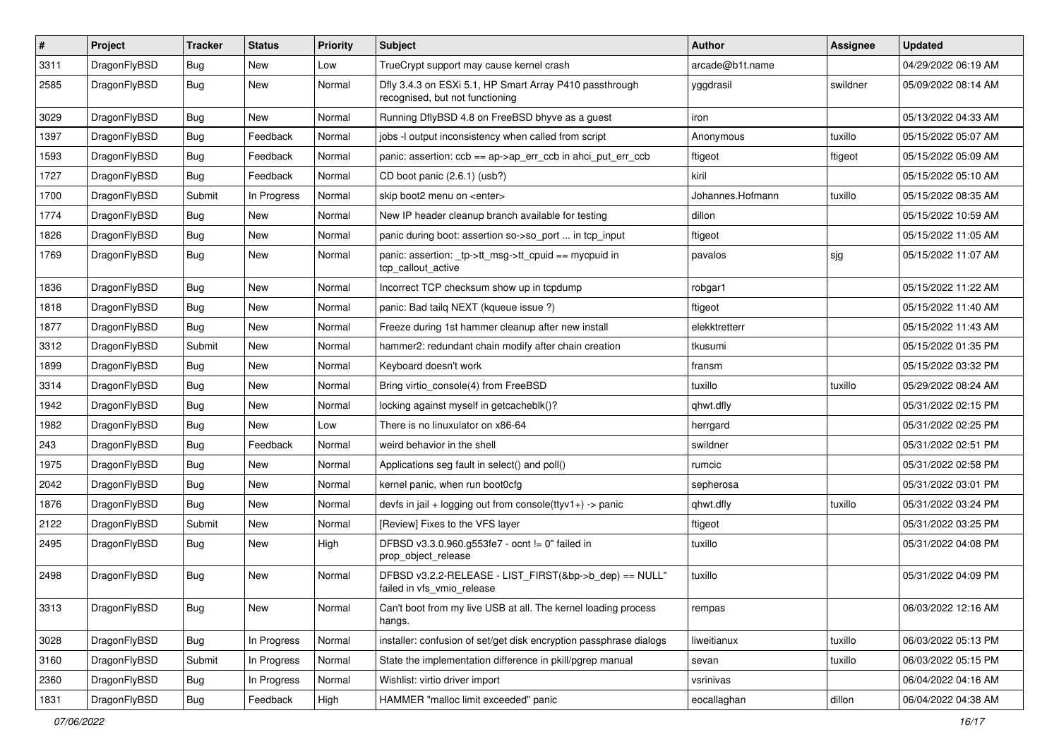| $\sharp$ | Project      | <b>Tracker</b> | <b>Status</b> | <b>Priority</b> | Subject                                                                                    | <b>Author</b>    | Assignee | <b>Updated</b>      |
|----------|--------------|----------------|---------------|-----------------|--------------------------------------------------------------------------------------------|------------------|----------|---------------------|
| 3311     | DragonFlyBSD | <b>Bug</b>     | New           | Low             | TrueCrypt support may cause kernel crash                                                   | arcade@b1t.name  |          | 04/29/2022 06:19 AM |
| 2585     | DragonFlyBSD | <b>Bug</b>     | New           | Normal          | Dfly 3.4.3 on ESXi 5.1, HP Smart Array P410 passthrough<br>recognised, but not functioning | yggdrasil        | swildner | 05/09/2022 08:14 AM |
| 3029     | DragonFlyBSD | <b>Bug</b>     | New           | Normal          | Running DflyBSD 4.8 on FreeBSD bhyve as a guest                                            | iron             |          | 05/13/2022 04:33 AM |
| 1397     | DragonFlyBSD | <b>Bug</b>     | Feedback      | Normal          | jobs -I output inconsistency when called from script                                       | Anonymous        | tuxillo  | 05/15/2022 05:07 AM |
| 1593     | DragonFlyBSD | <b>Bug</b>     | Feedback      | Normal          | panic: assertion: $ccb = ap$ ap- $\geq$ err $ccb$ in ahci put err $ccb$                    | ftigeot          | ftigeot  | 05/15/2022 05:09 AM |
| 1727     | DragonFlyBSD | <b>Bug</b>     | Feedback      | Normal          | CD boot panic (2.6.1) (usb?)                                                               | kiril            |          | 05/15/2022 05:10 AM |
| 1700     | DragonFlyBSD | Submit         | In Progress   | Normal          | skip boot2 menu on <enter></enter>                                                         | Johannes.Hofmann | tuxillo  | 05/15/2022 08:35 AM |
| 1774     | DragonFlyBSD | <b>Bug</b>     | New           | Normal          | New IP header cleanup branch available for testing                                         | dillon           |          | 05/15/2022 10:59 AM |
| 1826     | DragonFlyBSD | <b>Bug</b>     | <b>New</b>    | Normal          | panic during boot: assertion so->so_port  in tcp_input                                     | ftigeot          |          | 05/15/2022 11:05 AM |
| 1769     | DragonFlyBSD | <b>Bug</b>     | New           | Normal          | panic: assertion: _tp->tt_msg->tt_cpuid == mycpuid in<br>tcp_callout_active                | pavalos          | sjg      | 05/15/2022 11:07 AM |
| 1836     | DragonFlyBSD | <b>Bug</b>     | <b>New</b>    | Normal          | Incorrect TCP checksum show up in tcpdump                                                  | robgar1          |          | 05/15/2022 11:22 AM |
| 1818     | DragonFlyBSD | <b>Bug</b>     | New           | Normal          | panic: Bad tailg NEXT (kqueue issue ?)                                                     | ftigeot          |          | 05/15/2022 11:40 AM |
| 1877     | DragonFlyBSD | <b>Bug</b>     | New           | Normal          | Freeze during 1st hammer cleanup after new install                                         | elekktretterr    |          | 05/15/2022 11:43 AM |
| 3312     | DragonFlyBSD | Submit         | <b>New</b>    | Normal          | hammer2: redundant chain modify after chain creation                                       | tkusumi          |          | 05/15/2022 01:35 PM |
| 1899     | DragonFlyBSD | <b>Bug</b>     | New           | Normal          | Keyboard doesn't work                                                                      | fransm           |          | 05/15/2022 03:32 PM |
| 3314     | DragonFlyBSD | Bug            | <b>New</b>    | Normal          | Bring virtio_console(4) from FreeBSD                                                       | tuxillo          | tuxillo  | 05/29/2022 08:24 AM |
| 1942     | DragonFlyBSD | Bug            | New           | Normal          | locking against myself in getcacheblk()?                                                   | qhwt.dfly        |          | 05/31/2022 02:15 PM |
| 1982     | DragonFlyBSD | Bug            | New           | Low             | There is no linuxulator on x86-64                                                          | herrgard         |          | 05/31/2022 02:25 PM |
| 243      | DragonFlyBSD | Bug            | Feedback      | Normal          | weird behavior in the shell                                                                | swildner         |          | 05/31/2022 02:51 PM |
| 1975     | DragonFlyBSD | Bug            | New           | Normal          | Applications seg fault in select() and poll()                                              | rumcic           |          | 05/31/2022 02:58 PM |
| 2042     | DragonFlyBSD | Bug            | New           | Normal          | kernel panic, when run boot0cfg                                                            | sepherosa        |          | 05/31/2022 03:01 PM |
| 1876     | DragonFlyBSD | Bug            | New           | Normal          | devfs in jail + logging out from console(ttyv1+) -> panic                                  | qhwt.dfly        | tuxillo  | 05/31/2022 03:24 PM |
| 2122     | DragonFlyBSD | Submit         | <b>New</b>    | Normal          | [Review] Fixes to the VFS layer                                                            | ftigeot          |          | 05/31/2022 03:25 PM |
| 2495     | DragonFlyBSD | Bug            | New           | High            | DFBSD v3.3.0.960.g553fe7 - ocnt != 0" failed in<br>prop object release                     | tuxillo          |          | 05/31/2022 04:08 PM |
| 2498     | DragonFlyBSD | Bug            | New           | Normal          | DFBSD v3.2.2-RELEASE - LIST FIRST(&bp->b dep) == NULL"<br>failed in vfs_vmio_release       | tuxillo          |          | 05/31/2022 04:09 PM |
| 3313     | DragonFlyBSD | <b>Bug</b>     | New           | Normal          | Can't boot from my live USB at all. The kernel loading process<br>hangs.                   | rempas           |          | 06/03/2022 12:16 AM |
| 3028     | DragonFlyBSD | <b>Bug</b>     | In Progress   | Normal          | installer: confusion of set/get disk encryption passphrase dialogs                         | liweitianux      | tuxillo  | 06/03/2022 05:13 PM |
| 3160     | DragonFlyBSD | Submit         | In Progress   | Normal          | State the implementation difference in pkill/pgrep manual                                  | sevan            | tuxillo  | 06/03/2022 05:15 PM |
| 2360     | DragonFlyBSD | <b>Bug</b>     | In Progress   | Normal          | Wishlist: virtio driver import                                                             | vsrinivas        |          | 06/04/2022 04:16 AM |
| 1831     | DragonFlyBSD | Bug            | Feedback      | High            | HAMMER "malloc limit exceeded" panic                                                       | eocallaghan      | dillon   | 06/04/2022 04:38 AM |